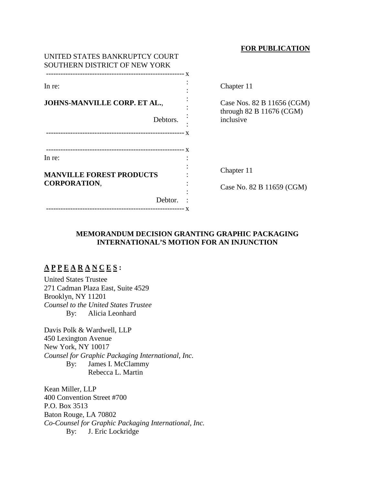## **FOR PUBLICATION**

| In re:                          |    |
|---------------------------------|----|
| JOHNS-MANVILLE CORP. ET AL.,    |    |
| Debtors.                        | 11 |
| In re:                          |    |
|                                 |    |
| <b>MANVILLE FOREST PRODUCTS</b> |    |
| <b>CORPORATION,</b>             |    |
| Debtor.                         |    |

Chapter 11

Case Nos. 82 B 11656 (CGM) hrough  $82 \text{ B } 11676 \text{ (CGM)}$ nclusive

Chapter 11

Case No. 82 B 11659 (CGM)

## **MEMORANDUM DECISION GRANTING GRAPHIC PACKAGING INTERNATIONAL'S MOTION FOR AN INJUNCTION**

# **A P P E A R A N C E S :**

United States Trustee 271 Cadman Plaza East, Suite 4529 Brooklyn, NY 11201 *Counsel to the United States Trustee* By: Alicia Leonhard

Davis Polk & Wardwell, LLP 450 Lexington Avenue New York, NY 10017 *Counsel for Graphic Packaging International, Inc.* By: James I. McClammy Rebecca L. Martin

Kean Miller, LLP 400 Convention Street #700 P.O. Box 3513 Baton Rouge, LA 70802 *Co-Counsel for Graphic Packaging International, Inc.* By: J. Eric Lockridge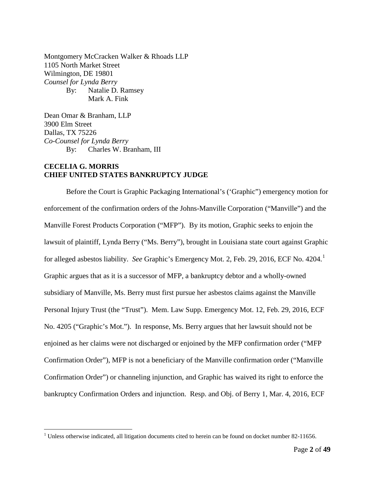Montgomery McCracken Walker & Rhoads LLP 1105 North Market Street Wilmington, DE 19801 *Counsel for Lynda Berry* By: Natalie D. Ramsey Mark A. Fink

Dean Omar & Branham, LLP 3900 Elm Street Dallas, TX 75226 *Co-Counsel for Lynda Berry* By: Charles W. Branham, III

## **CECELIA G. MORRIS CHIEF UNITED STATES BANKRUPTCY JUDGE**

Before the Court is Graphic Packaging International's ('Graphic") emergency motion for enforcement of the confirmation orders of the Johns-Manville Corporation ("Manville") and the Manville Forest Products Corporation ("MFP"). By its motion, Graphic seeks to enjoin the lawsuit of plaintiff, Lynda Berry ("Ms. Berry"), brought in Louisiana state court against Graphic for alleged asbestos liability. *See* Graphic's Emergency Mot. 2, Feb. 29, 20[1](#page-1-0)6, ECF No. 4204.<sup>1</sup> Graphic argues that as it is a successor of MFP, a bankruptcy debtor and a wholly-owned subsidiary of Manville, Ms. Berry must first pursue her asbestos claims against the Manville Personal Injury Trust (the "Trust"). Mem. Law Supp. Emergency Mot. 12, Feb. 29, 2016, ECF No. 4205 ("Graphic's Mot."). In response, Ms. Berry argues that her lawsuit should not be enjoined as her claims were not discharged or enjoined by the MFP confirmation order ("MFP Confirmation Order"), MFP is not a beneficiary of the Manville confirmation order ("Manville Confirmation Order") or channeling injunction, and Graphic has waived its right to enforce the bankruptcy Confirmation Orders and injunction. Resp. and Obj. of Berry 1, Mar. 4, 2016, ECF

<span id="page-1-0"></span><sup>&</sup>lt;sup>1</sup> Unless otherwise indicated, all litigation documents cited to herein can be found on docket number 82-11656.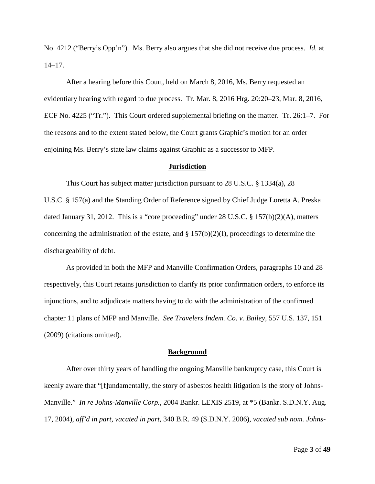No. 4212 ("Berry's Opp'n"). Ms. Berry also argues that she did not receive due process. *Id.* at  $14-17$ .

After a hearing before this Court, held on March 8, 2016, Ms. Berry requested an evidentiary hearing with regard to due process. Tr. Mar. 8, 2016 Hrg. 20:20–23, Mar. 8, 2016, ECF No. 4225 ("Tr."). This Court ordered supplemental briefing on the matter. Tr. 26:1–7. For the reasons and to the extent stated below, the Court grants Graphic's motion for an order enjoining Ms. Berry's state law claims against Graphic as a successor to MFP.

## **Jurisdiction**

This Court has subject matter jurisdiction pursuant to 28 U.S.C. § 1334(a), 28 U.S.C. § 157(a) and the Standing Order of Reference signed by Chief Judge Loretta A. Preska dated January 31, 2012. This is a "core proceeding" under 28 U.S.C. § 157(b)(2)(A), matters concerning the administration of the estate, and  $\S 157(b)(2)(I)$ , proceedings to determine the dischargeability of debt.

As provided in both the MFP and Manville Confirmation Orders, paragraphs 10 and 28 respectively, this Court retains jurisdiction to clarify its prior confirmation orders, to enforce its injunctions, and to adjudicate matters having to do with the administration of the confirmed chapter 11 plans of MFP and Manville. *See Travelers Indem. Co. v. Bailey*, 557 U.S. 137, 151 (2009) (citations omitted).

#### **Background**

After over thirty years of handling the ongoing Manville bankruptcy case, this Court is keenly aware that "[f]undamentally, the story of asbestos health litigation is the story of Johns-Manville." *In re Johns-Manville Corp.*, 2004 Bankr. LEXIS 2519, at \*5 (Bankr. S.D.N.Y. Aug. 17, 2004), *aff'd in part, vacated in part*, 340 B.R. 49 (S.D.N.Y. 2006), *vacated sub nom. Johns-*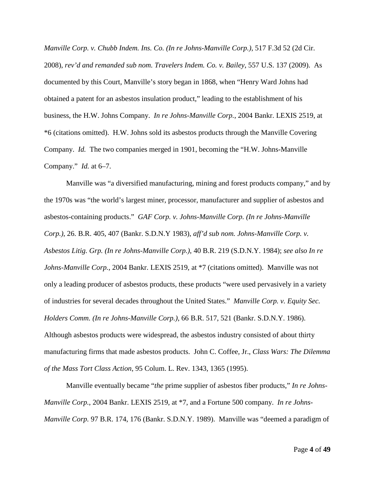*Manville Corp. v. Chubb Indem. Ins. Co. (In re Johns-Manville Corp.)*, 517 F.3d 52 (2d Cir. 2008), *rev'd and remanded sub nom. Travelers Indem. Co. v. Bailey*, 557 U.S. 137 (2009). As documented by this Court, Manville's story began in 1868, when "Henry Ward Johns had obtained a patent for an asbestos insulation product," leading to the establishment of his business, the H.W. Johns Company. *In re Johns-Manville Corp.*, 2004 Bankr. LEXIS 2519, at \*6 (citations omitted). H.W. Johns sold its asbestos products through the Manville Covering Company. *Id.* The two companies merged in 1901, becoming the "H.W. Johns-Manville Company." *Id.* at 6–7.

Manville was "a diversified manufacturing, mining and forest products company," and by the 1970s was "the world's largest miner, processor, manufacturer and supplier of asbestos and asbestos-containing products." *GAF Corp. v. Johns-Manville Corp. (In re Johns-Manville Corp.)*, 26. B.R. 405, 407 (Bankr. S.D.N.Y 1983), *aff'd sub nom. Johns-Manville Corp. v. Asbestos Litig. Grp. (In re Johns-Manville Corp.)*, 40 B.R. 219 (S.D.N.Y. 1984); *see also In re Johns-Manville Corp.*, 2004 Bankr. LEXIS 2519, at \*7 (citations omitted). Manville was not only a leading producer of asbestos products, these products "were used pervasively in a variety of industries for several decades throughout the United States." *Manville Corp. v. Equity Sec. Holders Comm. (In re Johns-Manville Corp.)*, 66 B.R. 517, 521 (Bankr. S.D.N.Y. 1986). Although asbestos products were widespread, the asbestos industry consisted of about thirty manufacturing firms that made asbestos products. John C. Coffee, Jr., *Class Wars: The Dilemma of the Mass Tort Class Action*, 95 Colum. L. Rev. 1343, 1365 (1995).

Manville eventually became "*the* prime supplier of asbestos fiber products," *In re Johns-Manville Corp.*, 2004 Bankr. LEXIS 2519, at \*7, and a Fortune 500 company. *In re Johns-Manville Corp.* 97 B.R. 174, 176 (Bankr. S.D.N.Y. 1989). Manville was "deemed a paradigm of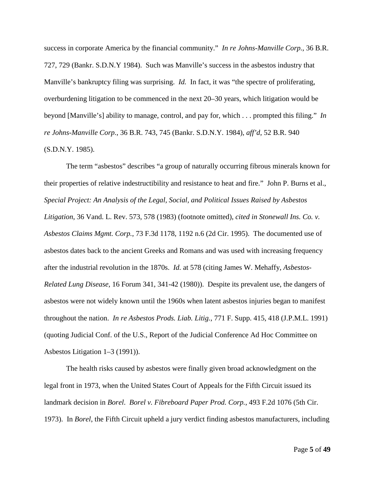success in corporate America by the financial community." *In re Johns-Manville Corp.*, 36 B.R. 727, 729 (Bankr. S.D.N.Y 1984). Such was Manville's success in the asbestos industry that Manville's bankruptcy filing was surprising. *Id.* In fact, it was "the spectre of proliferating, overburdening litigation to be commenced in the next 20–30 years, which litigation would be beyond [Manville's] ability to manage, control, and pay for, which . . . prompted this filing." *In re Johns-Manville Corp.*, 36 B.R. 743, 745 (Bankr. S.D.N.Y. 1984), *aff'd*, 52 B.R. 940 (S.D.N.Y. 1985).

The term "asbestos" describes "a group of naturally occurring fibrous minerals known for their properties of relative indestructibility and resistance to heat and fire." John P. Burns et al., *Special Project: An Analysis of the Legal, Social, and Political Issues Raised by Asbestos Litigation*, 36 Vand. L. Rev. 573, 578 (1983) (footnote omitted), *cited in Stonewall Ins. Co. v. Asbestos Claims Mgmt. Corp.*, 73 F.3d 1178, 1192 n.6 (2d Cir. 1995). The documented use of asbestos dates back to the ancient Greeks and Romans and was used with increasing frequency after the industrial revolution in the 1870s. *Id.* at 578 (citing James W. Mehaffy, *Asbestos-Related Lung Disease*, 16 Forum 341, 341-42 (1980)). Despite its prevalent use, the dangers of asbestos were not widely known until the 1960s when latent asbestos injuries began to manifest throughout the nation. *In re Asbestos Prods. Liab. Litig.*, 771 F. Supp. 415, 418 (J.P.M.L. 1991) (quoting Judicial Conf. of the U.S., Report of the Judicial Conference Ad Hoc Committee on Asbestos Litigation 1–3 (1991)).

The health risks caused by asbestos were finally given broad acknowledgment on the legal front in 1973, when the United States Court of Appeals for the Fifth Circuit issued its landmark decision in *Borel*. *Borel v. Fibreboard Paper Prod. Corp.*, 493 F.2d 1076 (5th Cir. 1973). In *Borel*, the Fifth Circuit upheld a jury verdict finding asbestos manufacturers, including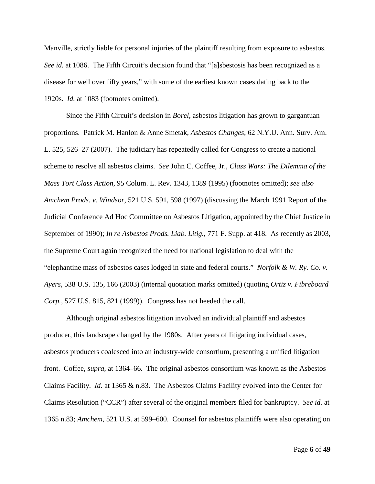Manville, strictly liable for personal injuries of the plaintiff resulting from exposure to asbestos. *See id.* at 1086. The Fifth Circuit's decision found that "[a]sbestosis has been recognized as a disease for well over fifty years," with some of the earliest known cases dating back to the 1920s. *Id.* at 1083 (footnotes omitted).

Since the Fifth Circuit's decision in *Borel*, asbestos litigation has grown to gargantuan proportions. Patrick M. Hanlon & Anne Smetak, *Asbestos Changes*, 62 N.Y.U. Ann. Surv. Am. L. 525, 526–27 (2007). The judiciary has repeatedly called for Congress to create a national scheme to resolve all asbestos claims. *See* John C. Coffee, Jr., *Class Wars: The Dilemma of the Mass Tort Class Action*, 95 Colum. L. Rev. 1343, 1389 (1995) (footnotes omitted); *see also Amchem Prods. v. Windsor*, 521 U.S. 591, 598 (1997) (discussing the March 1991 Report of the Judicial Conference Ad Hoc Committee on Asbestos Litigation, appointed by the Chief Justice in September of 1990); *In re Asbestos Prods. Liab. Litig.*, 771 F. Supp. at 418. As recently as 2003, the Supreme Court again recognized the need for national legislation to deal with the "elephantine mass of asbestos cases lodged in state and federal courts." *Norfolk & W. Ry. Co. v. Ayers*, 538 U.S. 135, 166 (2003) (internal quotation marks omitted) (quoting *Ortiz v. Fibreboard Corp.*, 527 U.S. 815, 821 (1999)). Congress has not heeded the call.

Although original asbestos litigation involved an individual plaintiff and asbestos producer, this landscape changed by the 1980s. After years of litigating individual cases, asbestos producers coalesced into an industry-wide consortium, presenting a unified litigation front. Coffee, *supra*, at 1364–66. The original asbestos consortium was known as the Asbestos Claims Facility. *Id.* at 1365 & n.83. The Asbestos Claims Facility evolved into the Center for Claims Resolution ("CCR") after several of the original members filed for bankruptcy. *See id.* at 1365 n.83; *Amchem*, 521 U.S. at 599–600. Counsel for asbestos plaintiffs were also operating on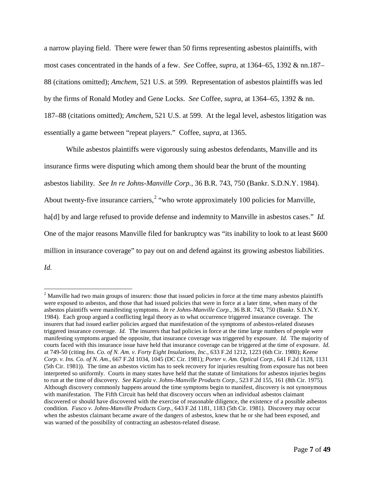a narrow playing field. There were fewer than 50 firms representing asbestos plaintiffs, with most cases concentrated in the hands of a few. *See* Coffee, *supra*, at 1364–65, 1392 & nn.187– 88 (citations omitted); *Amchem*, 521 U.S. at 599. Representation of asbestos plaintiffs was led by the firms of Ronald Motley and Gene Locks. *See* Coffee, *supra*, at 1364–65, 1392 & nn. 187–88 (citations omitted); *Amchem*, 521 U.S. at 599. At the legal level, asbestos litigation was essentially a game between "repeat players." Coffee, *supra*, at 1365.

While asbestos plaintiffs were vigorously suing asbestos defendants, Manville and its insurance firms were disputing which among them should bear the brunt of the mounting asbestos liability. *See In re Johns-Manville Corp.*, 36 B.R. 743, 750 (Bankr. S.D.N.Y. 1984). About twenty-five insurance carriers,<sup> $2$ </sup> "who wrote approximately 100 policies for Manville, ha<sup>[d]</sup> by and large refused to provide defense and indemnity to Manville in asbestos cases." *Id.* One of the major reasons Manville filed for bankruptcy was "its inability to look to at least \$600 million in insurance coverage" to pay out on and defend against its growing asbestos liabilities. *Id.*

<span id="page-6-0"></span><sup>&</sup>lt;sup>2</sup> Manville had two main groups of insurers: those that issued policies in force at the time many asbestos plaintiffs were exposed to asbestos, and those that had issued policies that were in force at a later time, when many of the asbestos plaintiffs were manifesting symptoms. *In re Johns-Manville Corp.*, 36 B.R. 743, 750 (Bankr. S.D.N.Y. 1984). Each group argued a conflicting legal theory as to what occurrence triggered insurance coverage. The insurers that had issued earlier policies argued that manifestation of the symptoms of asbestos-related diseases triggered insurance coverage. *Id.* The insurers that had policies in force at the time large numbers of people were manifesting symptoms argued the opposite, that insurance coverage was triggered by exposure. *Id.* The majority of courts faced with this insurance issue have held that insurance coverage can be triggered at the time of exposure. *Id.* at 749-50 (citing *Ins. Co. of N. Am. v. Forty Eight Insulations, Inc.*, 633 F.2d 1212, 1223 (6th Cir. 1980); *Keene Corp. v. Ins. Co. of N. Am.*, 667 F.2d 1034, 1045 (DC Cir. 1981); *Porter v. Am. Optical Corp.*, 641 F.2d 1128, 1131 (5th Cir. 1981)). The time an asbestos victim has to seek recovery for injuries resulting from exposure has not been interpreted so uniformly. Courts in many states have held that the statute of limitations for asbestos injuries begins to run at the time of discovery. *See Karjala v. Johns-Manville Products Corp.*, 523 F.2d 155, 161 (8th Cir. 1975). Although discovery commonly happens around the time symptoms begin to manifest, discovery is not synonymous with manifestation. The Fifth Circuit has held that discovery occurs when an individual asbestos claimant discovered or should have discovered with the exercise of reasonable diligence, the existence of a possible asbestos condition. *Fusco v. Johns-Manville Products Corp.*, 643 F.2d 1181, 1183 (5th Cir. 1981). Discovery may occur when the asbestos claimant became aware of the dangers of asbestos, knew that he or she had been exposed, and was warned of the possibility of contracting an asbestos-related disease.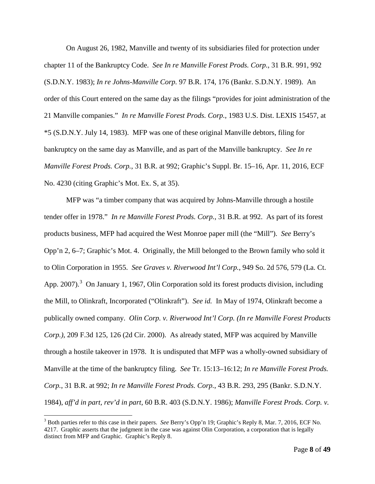On August 26, 1982, Manville and twenty of its subsidiaries filed for protection under chapter 11 of the Bankruptcy Code. *See In re Manville Forest Prods. Corp.*, 31 B.R. 991, 992 (S.D.N.Y. 1983); *In re Johns-Manville Corp.* 97 B.R. 174, 176 (Bankr. S.D.N.Y. 1989). An order of this Court entered on the same day as the filings "provides for joint administration of the 21 Manville companies." *In re Manville Forest Prods. Corp.*, 1983 U.S. Dist. LEXIS 15457, at \*5 (S.D.N.Y. July 14, 1983). MFP was one of these original Manville debtors, filing for bankruptcy on the same day as Manville, and as part of the Manville bankruptcy. *See In re Manville Forest Prods. Corp.*, 31 B.R. at 992; Graphic's Suppl. Br. 15–16, Apr. 11, 2016, ECF No. 4230 (citing Graphic's Mot. Ex. S, at 35).

MFP was "a timber company that was acquired by Johns-Manville through a hostile tender offer in 1978." *In re Manville Forest Prods. Corp.*, 31 B.R. at 992. As part of its forest products business, MFP had acquired the West Monroe paper mill (the "Mill"). *See* Berry's Opp'n 2, 6–7; Graphic's Mot. 4. Originally, the Mill belonged to the Brown family who sold it to Olin Corporation in 1955. *See Graves v. Riverwood Int'l Corp.*, 949 So. 2d 576, 579 (La. Ct. App. 2007).<sup>[3](#page-7-0)</sup> On January 1, 1967, Olin Corporation sold its forest products division, including the Mill, to Olinkraft, Incorporated ("Olinkraft"). *See id.* In May of 1974, Olinkraft become a publically owned company. *Olin Corp. v. Riverwood Int'l Corp. (In re Manville Forest Products Corp.)*, 209 F.3d 125, 126 (2d Cir. 2000). As already stated, MFP was acquired by Manville through a hostile takeover in 1978. It is undisputed that MFP was a wholly-owned subsidiary of Manville at the time of the bankruptcy filing. *See* Tr. 15:13–16:12; *In re Manville Forest Prods. Corp.*, 31 B.R. at 992; *In re Manville Forest Prods. Corp.*, 43 B.R. 293, 295 (Bankr. S.D.N.Y. 1984), *aff'd in part, rev'd in part*, 60 B.R. 403 (S.D.N.Y. 1986); *Manville Forest Prods. Corp. v.* 

<span id="page-7-0"></span> <sup>3</sup> Both parties refer to this case in their papers. *See* Berry's Opp'n 19; Graphic's Reply 8, Mar. 7, 2016, ECF No. 4217. Graphic asserts that the judgment in the case was against Olin Corporation, a corporation that is legally distinct from MFP and Graphic. Graphic's Reply 8.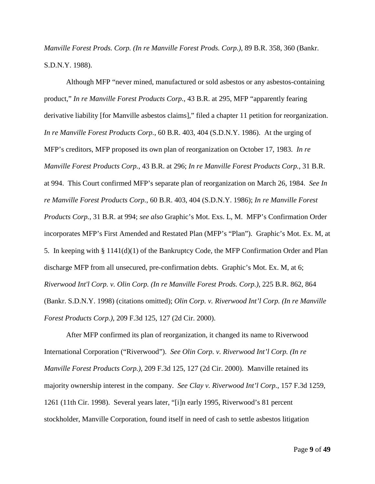*Manville Forest Prods. Corp. (In re Manville Forest Prods. Corp.)*, 89 B.R. 358, 360 (Bankr. S.D.N.Y. 1988).

Although MFP "never mined, manufactured or sold asbestos or any asbestos-containing product," *In re Manville Forest Products Corp.*, 43 B.R. at 295, MFP "apparently fearing derivative liability [for Manville asbestos claims]," filed a chapter 11 petition for reorganization. *In re Manville Forest Products Corp.*, 60 B.R. 403, 404 (S.D.N.Y. 1986). At the urging of MFP's creditors, MFP proposed its own plan of reorganization on October 17, 1983. *In re Manville Forest Products Corp.*, 43 B.R. at 296; *In re Manville Forest Products Corp.*, 31 B.R. at 994. This Court confirmed MFP's separate plan of reorganization on March 26, 1984. *See In re Manville Forest Products Corp.*, 60 B.R. 403, 404 (S.D.N.Y. 1986); *In re Manville Forest Products Corp.*, 31 B.R. at 994; *see also* Graphic's Mot. Exs. L, M. MFP's Confirmation Order incorporates MFP's First Amended and Restated Plan (MFP's "Plan"). Graphic's Mot. Ex. M, at 5. In keeping with § 1141(d)(1) of the Bankruptcy Code, the MFP Confirmation Order and Plan discharge MFP from all unsecured, pre-confirmation debts. Graphic's Mot. Ex. M, at 6; *Riverwood Int'l Corp. v. Olin Corp. (In re Manville Forest Prods. Corp.)*, 225 B.R. 862, 864 (Bankr. S.D.N.Y. 1998) (citations omitted); *Olin Corp. v. Riverwood Int'l Corp. (In re Manville Forest Products Corp.)*, 209 F.3d 125, 127 (2d Cir. 2000).

After MFP confirmed its plan of reorganization, it changed its name to Riverwood International Corporation ("Riverwood"). *See Olin Corp. v. Riverwood Int'l Corp. (In re Manville Forest Products Corp.)*, 209 F.3d 125, 127 (2d Cir. 2000). Manville retained its majority ownership interest in the company. *See Clay v. Riverwood Int'l Corp.*, 157 F.3d 1259, 1261 (11th Cir. 1998). Several years later, "[i]n early 1995, Riverwood's 81 percent stockholder, Manville Corporation, found itself in need of cash to settle asbestos litigation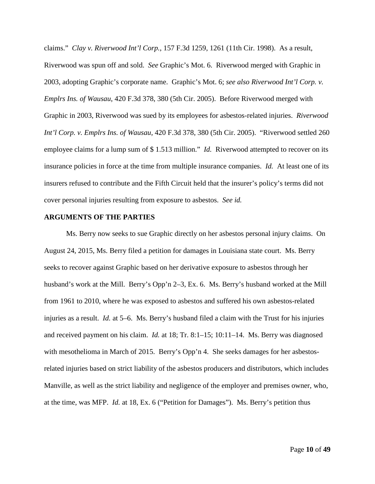claims." *Clay v. Riverwood Int'l Corp.*, 157 F.3d 1259, 1261 (11th Cir. 1998). As a result, Riverwood was spun off and sold. *See* Graphic's Mot. 6. Riverwood merged with Graphic in 2003, adopting Graphic's corporate name. Graphic's Mot. 6; *see also Riverwood Int'l Corp. v. Emplrs Ins. of Wausau*, 420 F.3d 378, 380 (5th Cir. 2005). Before Riverwood merged with Graphic in 2003, Riverwood was sued by its employees for asbestos-related injuries. *Riverwood Int'l Corp. v. Emplrs Ins. of Wausau*, 420 F.3d 378, 380 (5th Cir. 2005). "Riverwood settled 260 employee claims for a lump sum of \$ 1.513 million." *Id.* Riverwood attempted to recover on its insurance policies in force at the time from multiple insurance companies. *Id.* At least one of its insurers refused to contribute and the Fifth Circuit held that the insurer's policy's terms did not cover personal injuries resulting from exposure to asbestos. *See id.*

## **ARGUMENTS OF THE PARTIES**

Ms. Berry now seeks to sue Graphic directly on her asbestos personal injury claims. On August 24, 2015, Ms. Berry filed a petition for damages in Louisiana state court. Ms. Berry seeks to recover against Graphic based on her derivative exposure to asbestos through her husband's work at the Mill. Berry's Opp'n 2–3, Ex. 6. Ms. Berry's husband worked at the Mill from 1961 to 2010, where he was exposed to asbestos and suffered his own asbestos-related injuries as a result. *Id.* at 5–6. Ms. Berry's husband filed a claim with the Trust for his injuries and received payment on his claim. *Id.* at 18; Tr. 8:1–15; 10:11–14. Ms. Berry was diagnosed with mesothelioma in March of 2015. Berry's Opp'n 4. She seeks damages for her asbestosrelated injuries based on strict liability of the asbestos producers and distributors, which includes Manville, as well as the strict liability and negligence of the employer and premises owner, who, at the time, was MFP. *Id.* at 18, Ex. 6 ("Petition for Damages"). Ms. Berry's petition thus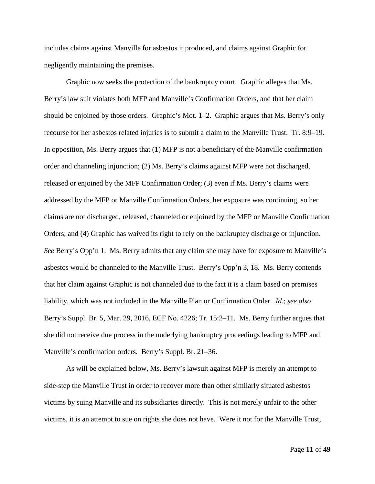includes claims against Manville for asbestos it produced, and claims against Graphic for negligently maintaining the premises.

Graphic now seeks the protection of the bankruptcy court. Graphic alleges that Ms. Berry's law suit violates both MFP and Manville's Confirmation Orders, and that her claim should be enjoined by those orders. Graphic's Mot. 1–2. Graphic argues that Ms. Berry's only recourse for her asbestos related injuries is to submit a claim to the Manville Trust. Tr. 8:9–19. In opposition, Ms. Berry argues that (1) MFP is not a beneficiary of the Manville confirmation order and channeling injunction; (2) Ms. Berry's claims against MFP were not discharged, released or enjoined by the MFP Confirmation Order; (3) even if Ms. Berry's claims were addressed by the MFP or Manville Confirmation Orders, her exposure was continuing, so her claims are not discharged, released, channeled or enjoined by the MFP or Manville Confirmation Orders; and (4) Graphic has waived its right to rely on the bankruptcy discharge or injunction. *See* Berry's Opp'n 1. Ms. Berry admits that any claim she may have for exposure to Manville's asbestos would be channeled to the Manville Trust. Berry's Opp'n 3, 18. Ms. Berry contends that her claim against Graphic is not channeled due to the fact it is a claim based on premises liability, which was not included in the Manville Plan or Confirmation Order. *Id.*; *see also*  Berry's Suppl. Br. 5, Mar. 29, 2016, ECF No. 4226; Tr. 15:2–11. Ms. Berry further argues that she did not receive due process in the underlying bankruptcy proceedings leading to MFP and Manville's confirmation orders. Berry's Suppl. Br. 21–36.

As will be explained below, Ms. Berry's lawsuit against MFP is merely an attempt to side-step the Manville Trust in order to recover more than other similarly situated asbestos victims by suing Manville and its subsidiaries directly. This is not merely unfair to the other victims, it is an attempt to sue on rights she does not have. Were it not for the Manville Trust,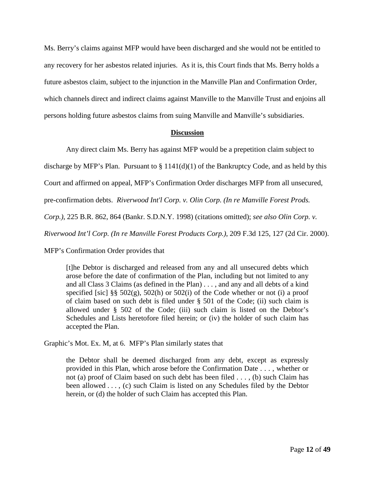Ms. Berry's claims against MFP would have been discharged and she would not be entitled to any recovery for her asbestos related injuries. As it is, this Court finds that Ms. Berry holds a future asbestos claim, subject to the injunction in the Manville Plan and Confirmation Order, which channels direct and indirect claims against Manville to the Manville Trust and enjoins all persons holding future asbestos claims from suing Manville and Manville's subsidiaries.

## **Discussion**

Any direct claim Ms. Berry has against MFP would be a prepetition claim subject to

discharge by MFP's Plan. Pursuant to  $\S 1141(d)(1)$  of the Bankruptcy Code, and as held by this

Court and affirmed on appeal, MFP's Confirmation Order discharges MFP from all unsecured,

pre-confirmation debts. *Riverwood Int'l Corp. v. Olin Corp. (In re Manville Forest Prods.* 

*Corp.)*, 225 B.R. 862, 864 (Bankr. S.D.N.Y. 1998) (citations omitted); *see also Olin Corp. v.* 

*Riverwood Int'l Corp. (In re Manville Forest Products Corp.)*, 209 F.3d 125, 127 (2d Cir. 2000).

MFP's Confirmation Order provides that

[t]he Debtor is discharged and released from any and all unsecured debts which arose before the date of confirmation of the Plan, including but not limited to any and all Class 3 Claims (as defined in the Plan) . . . , and any and all debts of a kind specified [sic] §§  $502(g)$ ,  $502(h)$  or  $502(i)$  of the Code whether or not (i) a proof of claim based on such debt is filed under § 501 of the Code; (ii) such claim is allowed under § 502 of the Code; (iii) such claim is listed on the Debtor's Schedules and Lists heretofore filed herein; or (iv) the holder of such claim has accepted the Plan.

Graphic's Mot. Ex. M, at 6. MFP's Plan similarly states that

the Debtor shall be deemed discharged from any debt, except as expressly provided in this Plan, which arose before the Confirmation Date . . . , whether or not (a) proof of Claim based on such debt has been filed . . . , (b) such Claim has been allowed . . . , (c) such Claim is listed on any Schedules filed by the Debtor herein, or (d) the holder of such Claim has accepted this Plan.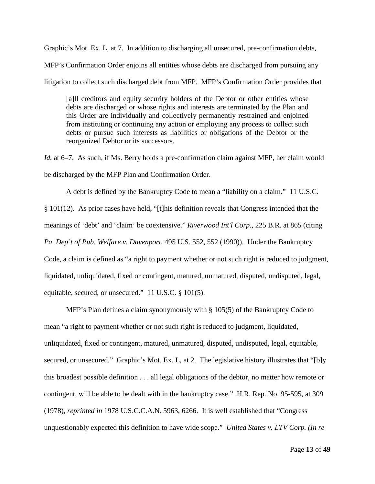Graphic's Mot. Ex. L, at 7. In addition to discharging all unsecured, pre-confirmation debts,

MFP's Confirmation Order enjoins all entities whose debts are discharged from pursuing any

litigation to collect such discharged debt from MFP. MFP's Confirmation Order provides that

[a]ll creditors and equity security holders of the Debtor or other entities whose debts are discharged or whose rights and interests are terminated by the Plan and this Order are individually and collectively permanently restrained and enjoined from instituting or continuing any action or employing any process to collect such debts or pursue such interests as liabilities or obligations of the Debtor or the reorganized Debtor or its successors.

*Id.* at 6–7. As such, if Ms. Berry holds a pre-confirmation claim against MFP, her claim would be discharged by the MFP Plan and Confirmation Order.

A debt is defined by the Bankruptcy Code to mean a "liability on a claim." 11 U.S.C. § 101(12). As prior cases have held, "[t]his definition reveals that Congress intended that the meanings of 'debt' and 'claim' be coextensive." *Riverwood Int'l Corp.*, 225 B.R. at 865 (citing *Pa. Dep't of Pub. Welfare v. Davenport*, 495 U.S. 552, 552 (1990)). Under the Bankruptcy Code, a claim is defined as "a right to payment whether or not such right is reduced to judgment, liquidated, unliquidated, fixed or contingent, matured, unmatured, disputed, undisputed, legal, equitable, secured, or unsecured." 11 U.S.C. § 101(5).

MFP's Plan defines a claim synonymously with § 105(5) of the Bankruptcy Code to mean "a right to payment whether or not such right is reduced to judgment, liquidated, unliquidated, fixed or contingent, matured, unmatured, disputed, undisputed, legal, equitable, secured, or unsecured." Graphic's Mot. Ex. L, at 2. The legislative history illustrates that "[b]y this broadest possible definition . . . all legal obligations of the debtor, no matter how remote or contingent, will be able to be dealt with in the bankruptcy case." H.R. Rep. No. 95-595, at 309 (1978), *reprinted in* 1978 U.S.C.C.A.N. 5963, 6266. It is well established that "Congress unquestionably expected this definition to have wide scope." *United States v. LTV Corp. (In re*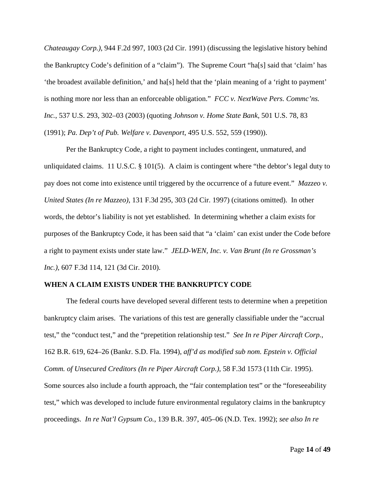*Chateaugay Corp.)*, 944 F.2d 997, 1003 (2d Cir. 1991) (discussing the legislative history behind the Bankruptcy Code's definition of a "claim"). The Supreme Court "ha[s] said that 'claim' has 'the broadest available definition,' and ha[s] held that the 'plain meaning of a 'right to payment' is nothing more nor less than an enforceable obligation." *FCC v. NextWave Pers. Commc'ns. Inc.*, 537 U.S. 293, 302–03 (2003) (quoting *Johnson v. Home State Bank*, 501 U.S. 78, 83 (1991); *Pa. Dep't of Pub. Welfare v. Davenport*, 495 U.S. 552, 559 (1990)).

Per the Bankruptcy Code, a right to payment includes contingent, unmatured, and unliquidated claims. 11 U.S.C. § 101(5). A claim is contingent where "the debtor's legal duty to pay does not come into existence until triggered by the occurrence of a future event." *Mazzeo v. United States (In re Mazzeo)*, 131 F.3d 295, 303 (2d Cir. 1997) (citations omitted). In other words, the debtor's liability is not yet established. In determining whether a claim exists for purposes of the Bankruptcy Code, it has been said that "a 'claim' can exist under the Code before a right to payment exists under state law." *JELD-WEN, Inc. v. Van Brunt (In re Grossman's Inc.)*, 607 F.3d 114, 121 (3d Cir. 2010).

## **WHEN A CLAIM EXISTS UNDER THE BANKRUPTCY CODE**

The federal courts have developed several different tests to determine when a prepetition bankruptcy claim arises. The variations of this test are generally classifiable under the "accrual test," the "conduct test," and the "prepetition relationship test." *See In re Piper Aircraft Corp.*, 162 B.R. 619, 624–26 (Bankr. S.D. Fla. 1994), *aff'd as modified sub nom. Epstein v. Official Comm. of Unsecured Creditors (In re Piper Aircraft Corp.)*, 58 F.3d 1573 (11th Cir. 1995). Some sources also include a fourth approach, the "fair contemplation test" or the "foreseeability" test," which was developed to include future environmental regulatory claims in the bankruptcy proceedings. *In re Nat'l Gypsum Co.*, 139 B.R. 397, 405–06 (N.D. Tex. 1992); *see also In re*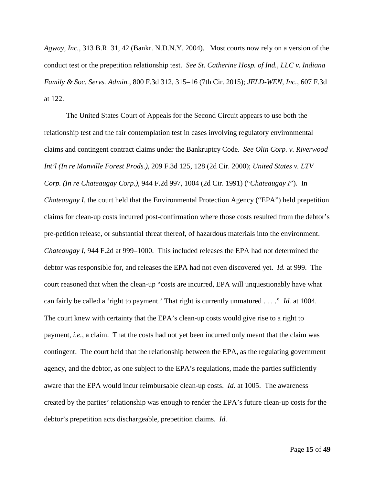*Agway, Inc.*, 313 B.R. 31, 42 (Bankr. N.D.N.Y. 2004). Most courts now rely on a version of the conduct test or the prepetition relationship test. *See St. Catherine Hosp. of Ind., LLC v. Indiana Family & Soc. Servs. Admin.*, 800 F.3d 312, 315–16 (7th Cir. 2015); *JELD-WEN, Inc.*, 607 F.3d at 122.

The United States Court of Appeals for the Second Circuit appears to use both the relationship test and the fair contemplation test in cases involving regulatory environmental claims and contingent contract claims under the Bankruptcy Code. *See Olin Corp. v. Riverwood Int'l (In re Manville Forest Prods.)*, 209 F.3d 125, 128 (2d Cir. 2000); *United States v. LTV Corp. (In re Chateaugay Corp.)*, 944 F.2d 997, 1004 (2d Cir. 1991) ("*Chateaugay I*"). In *Chateaugay I*, the court held that the Environmental Protection Agency ("EPA") held prepetition claims for clean-up costs incurred post-confirmation where those costs resulted from the debtor's pre-petition release, or substantial threat thereof, of hazardous materials into the environment. *Chateaugay I*, 944 F.2d at 999–1000. This included releases the EPA had not determined the debtor was responsible for, and releases the EPA had not even discovered yet. *Id.* at 999. The court reasoned that when the clean-up "costs are incurred, EPA will unquestionably have what can fairly be called a 'right to payment.' That right is currently unmatured . . . ." *Id.* at 1004. The court knew with certainty that the EPA's clean-up costs would give rise to a right to payment, *i.e.*, a claim. That the costs had not yet been incurred only meant that the claim was contingent. The court held that the relationship between the EPA, as the regulating government agency, and the debtor, as one subject to the EPA's regulations, made the parties sufficiently aware that the EPA would incur reimbursable clean-up costs. *Id.* at 1005. The awareness created by the parties' relationship was enough to render the EPA's future clean-up costs for the debtor's prepetition acts dischargeable, prepetition claims. *Id.*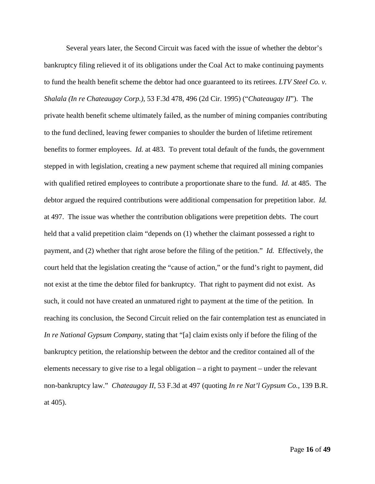Several years later, the Second Circuit was faced with the issue of whether the debtor's bankruptcy filing relieved it of its obligations under the Coal Act to make continuing payments to fund the health benefit scheme the debtor had once guaranteed to its retirees. *LTV Steel Co. v. Shalala (In re Chateaugay Corp.)*, 53 F.3d 478, 496 (2d Cir. 1995) ("*Chateaugay II*"). The private health benefit scheme ultimately failed, as the number of mining companies contributing to the fund declined, leaving fewer companies to shoulder the burden of lifetime retirement benefits to former employees. *Id.* at 483. To prevent total default of the funds, the government stepped in with legislation, creating a new payment scheme that required all mining companies with qualified retired employees to contribute a proportionate share to the fund. *Id.* at 485. The debtor argued the required contributions were additional compensation for prepetition labor. *Id.* at 497. The issue was whether the contribution obligations were prepetition debts. The court held that a valid prepetition claim "depends on  $(1)$  whether the claimant possessed a right to payment, and (2) whether that right arose before the filing of the petition." *Id.* Effectively, the court held that the legislation creating the "cause of action," or the fund's right to payment, did not exist at the time the debtor filed for bankruptcy. That right to payment did not exist. As such, it could not have created an unmatured right to payment at the time of the petition. In reaching its conclusion, the Second Circuit relied on the fair contemplation test as enunciated in *In re National Gypsum Company*, stating that "[a] claim exists only if before the filing of the bankruptcy petition, the relationship between the debtor and the creditor contained all of the elements necessary to give rise to a legal obligation – a right to payment – under the relevant non-bankruptcy law." *Chateaugay II*, 53 F.3d at 497 (quoting *In re Nat'l Gypsum Co.*, 139 B.R. at 405).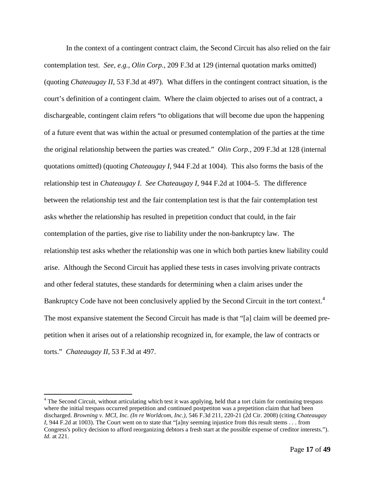In the context of a contingent contract claim, the Second Circuit has also relied on the fair contemplation test. *See, e.g.*, *Olin Corp.*, 209 F.3d at 129 (internal quotation marks omitted) (quoting *Chateaugay II*, 53 F.3d at 497). What differs in the contingent contract situation, is the court's definition of a contingent claim. Where the claim objected to arises out of a contract, a dischargeable, contingent claim refers "to obligations that will become due upon the happening of a future event that was within the actual or presumed contemplation of the parties at the time the original relationship between the parties was created." *Olin Corp.*, 209 F.3d at 128 (internal quotations omitted) (quoting *Chateaugay I*, 944 F.2d at 1004). This also forms the basis of the relationship test in *Chateaugay I*. *See Chateaugay I*, 944 F.2d at 1004–5. The difference between the relationship test and the fair contemplation test is that the fair contemplation test asks whether the relationship has resulted in prepetition conduct that could, in the fair contemplation of the parties, give rise to liability under the non-bankruptcy law. The relationship test asks whether the relationship was one in which both parties knew liability could arise. Although the Second Circuit has applied these tests in cases involving private contracts and other federal statutes, these standards for determining when a claim arises under the Bankruptcy Code have not been conclusively applied by the Second Circuit in the tort context.<sup>[4](#page-16-0)</sup> The most expansive statement the Second Circuit has made is that "[a] claim will be deemed prepetition when it arises out of a relationship recognized in, for example, the law of contracts or torts." *Chateaugay II*, 53 F.3d at 497.

<span id="page-16-0"></span><sup>&</sup>lt;sup>4</sup> The Second Circuit, without articulating which test it was applying, held that a tort claim for continuing trespass where the initial trespass occurred prepetition and continued postpetiton was a prepetition claim that had been discharged. *Browning v. MCI, Inc. (In re Worldcom, Inc.)*, 546 F.3d 211, 220-21 (2d Cir. 2008) (citing *Chateaugay I*, 944 F.2d at 1003). The Court went on to state that "[a]ny seeming injustice from this result stems . . . from Congress's policy decision to afford reorganizing debtors a fresh start at the possible expense of creditor interests."). *Id.* at 221.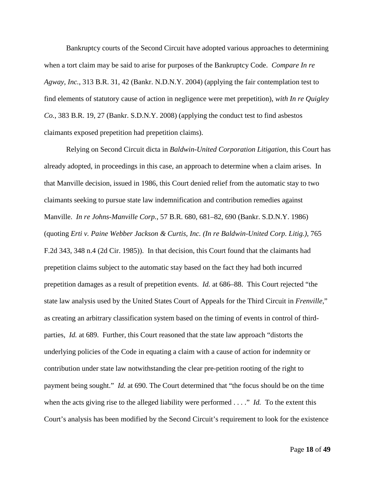Bankruptcy courts of the Second Circuit have adopted various approaches to determining when a tort claim may be said to arise for purposes of the Bankruptcy Code. *Compare In re Agway, Inc.*, 313 B.R. 31, 42 (Bankr. N.D.N.Y. 2004) (applying the fair contemplation test to find elements of statutory cause of action in negligence were met prepetition), *with In re Quigley Co.*, 383 B.R. 19, 27 (Bankr. S.D.N.Y. 2008) (applying the conduct test to find asbestos claimants exposed prepetition had prepetition claims).

Relying on Second Circuit dicta in *Baldwin-United Corporation Litigation*, this Court has already adopted, in proceedings in this case, an approach to determine when a claim arises. In that Manville decision, issued in 1986, this Court denied relief from the automatic stay to two claimants seeking to pursue state law indemnification and contribution remedies against Manville. *In re Johns-Manville Corp.*, 57 B.R. 680, 681–82, 690 (Bankr. S.D.N.Y. 1986) (quoting *Erti v. Paine Webber Jackson & Curtis, Inc. (In re Baldwin-United Corp. Litig.)*, 765 F.2d 343, 348 n.4 (2d Cir. 1985)). In that decision, this Court found that the claimants had prepetition claims subject to the automatic stay based on the fact they had both incurred prepetition damages as a result of prepetition events. *Id.* at 686–88. This Court rejected "the state law analysis used by the United States Court of Appeals for the Third Circuit in *Frenville*," as creating an arbitrary classification system based on the timing of events in control of thirdparties, *Id.* at 689. Further, this Court reasoned that the state law approach "distorts the underlying policies of the Code in equating a claim with a cause of action for indemnity or contribution under state law notwithstanding the clear pre-petition rooting of the right to payment being sought." *Id.* at 690. The Court determined that "the focus should be on the time when the acts giving rise to the alleged liability were performed . . . ." *Id.* To the extent this Court's analysis has been modified by the Second Circuit's requirement to look for the existence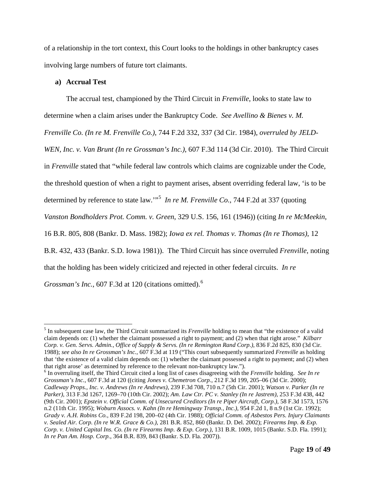of a relationship in the tort context, this Court looks to the holdings in other bankruptcy cases involving large numbers of future tort claimants.

## **a) Accrual Test**

The accrual test, championed by the Third Circuit in *Frenville*, looks to state law to determine when a claim arises under the Bankruptcy Code. *See Avellino & Bienes v. M. Frenville Co. (In re M. Frenville Co.)*, 744 F.2d 332, 337 (3d Cir. 1984), *overruled by JELD-WEN, Inc. v. Van Brunt (In re Grossman's Inc.)*, 607 F.3d 114 (3d Cir. 2010). The Third Circuit in *Frenville* stated that "while federal law controls which claims are cognizable under the Code, the threshold question of when a right to payment arises, absent overriding federal law, 'is to be determined by reference to state law."<sup>[5](#page-18-0)</sup> In re M. Frenville Co., 744 F.2d at 337 (quoting *Vanston Bondholders Prot. Comm. v. Green*, 329 U.S. 156, 161 (1946)) (citing *In re McMeekin*, 16 B.R. 805, 808 (Bankr. D. Mass. 1982); *Iowa ex rel. Thomas v. Thomas (In re Thomas)*, 12 B.R. 432, 433 (Bankr. S.D. Iowa 1981)). The Third Circuit has since overruled *Frenville*, noting that the holding has been widely criticized and rejected in other federal circuits. *In re Grossman's Inc.*, 607 F.3d at 120 (citations omitted).[6](#page-18-1)

<span id="page-18-1"></span><sup>6</sup> In overruling itself, the Third Circuit cited a long list of cases disagreeing with the *Frenville* holding. *See In re Grossman's Inc.*, 607 F.3d at 120 ((citing *Jones v. Chemetron Corp.*, 212 F.3d 199, 205–06 (3d Cir. 2000); *Cadleway Props., Inc. v. Andrews (In re Andrews)*, 239 F.3d 708, 710 n.7 (5th Cir. 2001); *Watson v. Parker (In re Parker)*, 313 F.3d 1267, 1269–70 (10th Cir. 2002); *Am. Law Ctr. PC v. Stanley (In re Jastrem)*, 253 F.3d 438, 442 (9th Cir. 2001); *Epstein v. Official Comm. of Unsecured Creditors (In re Piper Aircraft, Corp.)*, 58 F.3d 1573, 1576 n.2 (11th Cir. 1995); *Woburn Assocs. v. Kahn (In re Hemingway Transp., Inc.)*, 954 F.2d 1, 8 n.9 (1st Cir. 1992); *Grady v. A.H. Robins Co.*, 839 F.2d 198, 200–02 (4th Cir. 1988); *Official Comm. of Asbestos Pers. Injury Claimants v. Sealed Air. Corp. (In re W.R. Grace & Co.)*, 281 B.R. 852, 860 (Bankr. D. Del. 2002); *Firearms Imp. & Exp. Corp. v. United Capital Ins. Co. (In re Firearms Imp. & Exp. Corp.)*, 131 B.R. 1009, 1015 (Bankr. S.D. Fla. 1991); *In re Pan Am. Hosp. Corp.*, 364 B.R. 839, 843 (Bankr. S.D. Fla. 2007)).

<span id="page-18-0"></span><sup>&</sup>lt;sup>5</sup> In subsequent case law, the Third Circuit summarized its *Frenville* holding to mean that "the existence of a valid claim depends on: (1) whether the claimant possessed a right to payment; and (2) when that right arose." *Kilbarr Corp. v. Gen. Servs. Admin., Office of Supply & Servs. (In re Remington Rand Corp.)*, 836 F.2d 825, 830 (3d Cir. 1988); *see also In re Grossman's Inc.*, 607 F.3d at 119 ("This court subsequently summarized *Frenville* as holding that 'the existence of a valid claim depends on: (1) whether the claimant possessed a right to payment; and (2) when that right arose' as determined by reference to the relevant non-bankruptcy law.").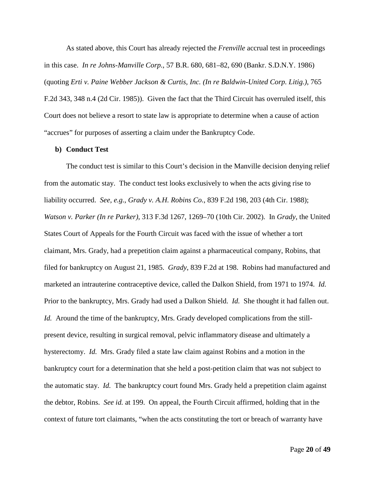As stated above, this Court has already rejected the *Frenville* accrual test in proceedings in this case. *In re Johns-Manville Corp.*, 57 B.R. 680, 681–82, 690 (Bankr. S.D.N.Y. 1986) (quoting *Erti v. Paine Webber Jackson & Curtis, Inc. (In re Baldwin-United Corp. Litig.)*, 765 F.2d 343, 348 n.4 (2d Cir. 1985)). Given the fact that the Third Circuit has overruled itself, this Court does not believe a resort to state law is appropriate to determine when a cause of action "accrues" for purposes of asserting a claim under the Bankruptcy Code.

#### **b) Conduct Test**

The conduct test is similar to this Court's decision in the Manville decision denying relief from the automatic stay. The conduct test looks exclusively to when the acts giving rise to liability occurred. *See, e.g.*, *Grady v. A.H. Robins Co.*, 839 F.2d 198, 203 (4th Cir. 1988); *Watson v. Parker (In re Parker)*, 313 F.3d 1267, 1269–70 (10th Cir. 2002). In *Grady*, the United States Court of Appeals for the Fourth Circuit was faced with the issue of whether a tort claimant, Mrs. Grady, had a prepetition claim against a pharmaceutical company, Robins, that filed for bankruptcy on August 21, 1985. *Grady*, 839 F.2d at 198. Robins had manufactured and marketed an intrauterine contraceptive device, called the Dalkon Shield, from 1971 to 1974. *Id.* Prior to the bankruptcy, Mrs. Grady had used a Dalkon Shield. *Id.* She thought it had fallen out. *Id.* Around the time of the bankruptcy, Mrs. Grady developed complications from the stillpresent device, resulting in surgical removal, pelvic inflammatory disease and ultimately a hysterectomy. *Id.* Mrs. Grady filed a state law claim against Robins and a motion in the bankruptcy court for a determination that she held a post-petition claim that was not subject to the automatic stay. *Id.* The bankruptcy court found Mrs. Grady held a prepetition claim against the debtor, Robins. *See id.* at 199. On appeal, the Fourth Circuit affirmed, holding that in the context of future tort claimants, "when the acts constituting the tort or breach of warranty have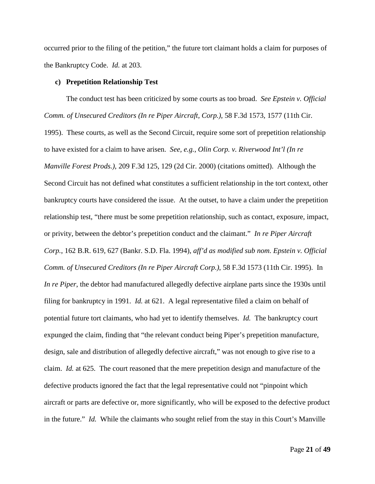occurred prior to the filing of the petition," the future tort claimant holds a claim for purposes of the Bankruptcy Code. *Id.* at 203.

## **c) Prepetition Relationship Test**

The conduct test has been criticized by some courts as too broad. *See Epstein v. Official Comm. of Unsecured Creditors (In re Piper Aircraft, Corp.)*, 58 F.3d 1573, 1577 (11th Cir. 1995). These courts, as well as the Second Circuit, require some sort of prepetition relationship to have existed for a claim to have arisen. *See, e.g.*, *Olin Corp. v. Riverwood Int'l (In re Manville Forest Prods.)*, 209 F.3d 125, 129 (2d Cir. 2000) (citations omitted). Although the Second Circuit has not defined what constitutes a sufficient relationship in the tort context, other bankruptcy courts have considered the issue. At the outset, to have a claim under the prepetition relationship test, "there must be some prepetition relationship, such as contact, exposure, impact, or privity, between the debtor's prepetition conduct and the claimant." *In re Piper Aircraft Corp.*, 162 B.R. 619, 627 (Bankr. S.D. Fla. 1994), *aff'd as modified sub nom. Epstein v. Official Comm. of Unsecured Creditors (In re Piper Aircraft Corp.)*, 58 F.3d 1573 (11th Cir. 1995). In *In re Piper*, the debtor had manufactured allegedly defective airplane parts since the 1930s until filing for bankruptcy in 1991. *Id.* at 621. A legal representative filed a claim on behalf of potential future tort claimants, who had yet to identify themselves. *Id.* The bankruptcy court expunged the claim, finding that "the relevant conduct being Piper's prepetition manufacture, design, sale and distribution of allegedly defective aircraft," was not enough to give rise to a claim. *Id.* at 625. The court reasoned that the mere prepetition design and manufacture of the defective products ignored the fact that the legal representative could not "pinpoint which aircraft or parts are defective or, more significantly, who will be exposed to the defective product in the future." *Id.* While the claimants who sought relief from the stay in this Court's Manville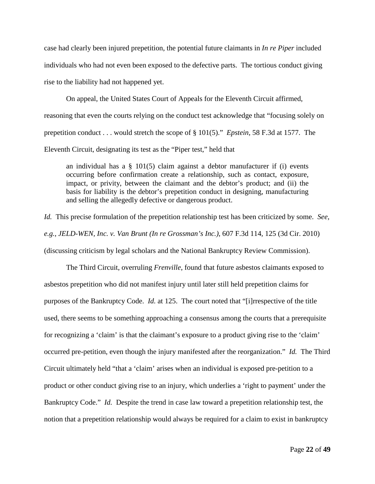case had clearly been injured prepetition, the potential future claimants in *In re Piper* included individuals who had not even been exposed to the defective parts. The tortious conduct giving rise to the liability had not happened yet.

On appeal, the United States Court of Appeals for the Eleventh Circuit affirmed, reasoning that even the courts relying on the conduct test acknowledge that "focusing solely on prepetition conduct . . . would stretch the scope of § 101(5)." *Epstein*, 58 F.3d at 1577. The Eleventh Circuit, designating its test as the "Piper test," held that

an individual has a  $\S$  101(5) claim against a debtor manufacturer if (i) events occurring before confirmation create a relationship, such as contact, exposure, impact, or privity, between the claimant and the debtor's product; and (ii) the basis for liability is the debtor's prepetition conduct in designing, manufacturing and selling the allegedly defective or dangerous product.

*Id.* This precise formulation of the prepetition relationship test has been criticized by some. *See, e.g.*, *JELD-WEN, Inc. v. Van Brunt (In re Grossman's Inc.)*, 607 F.3d 114, 125 (3d Cir. 2010) (discussing criticism by legal scholars and the National Bankruptcy Review Commission).

The Third Circuit, overruling *Frenville*, found that future asbestos claimants exposed to asbestos prepetition who did not manifest injury until later still held prepetition claims for purposes of the Bankruptcy Code. *Id.* at 125. The court noted that "[i]rrespective of the title used, there seems to be something approaching a consensus among the courts that a prerequisite for recognizing a 'claim' is that the claimant's exposure to a product giving rise to the 'claim' occurred pre-petition, even though the injury manifested after the reorganization." *Id.* The Third Circuit ultimately held "that a 'claim' arises when an individual is exposed pre-petition to a product or other conduct giving rise to an injury, which underlies a 'right to payment' under the Bankruptcy Code." *Id.* Despite the trend in case law toward a prepetition relationship test, the notion that a prepetition relationship would always be required for a claim to exist in bankruptcy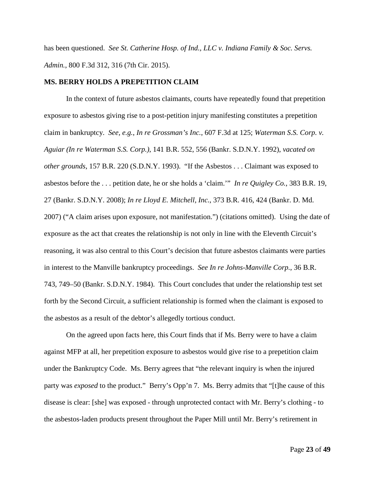has been questioned. *See St. Catherine Hosp. of Ind., LLC v. Indiana Family & Soc. Servs. Admin.*, 800 F.3d 312, 316 (7th Cir. 2015).

## **MS. BERRY HOLDS A PREPETITION CLAIM**

In the context of future asbestos claimants, courts have repeatedly found that prepetition exposure to asbestos giving rise to a post-petition injury manifesting constitutes a prepetition claim in bankruptcy. *See, e.g.*, *In re Grossman's Inc.*, 607 F.3d at 125; *Waterman S.S. Corp. v. Aguiar (In re Waterman S.S. Corp.)*, 141 B.R. 552, 556 (Bankr. S.D.N.Y. 1992), *vacated on other grounds*, 157 B.R. 220 (S.D.N.Y. 1993). "If the Asbestos . . . Claimant was exposed to asbestos before the . . . petition date, he or she holds a 'claim.'" *In re Quigley Co.*, 383 B.R. 19, 27 (Bankr. S.D.N.Y. 2008); *In re Lloyd E. Mitchell, Inc.*, 373 B.R. 416, 424 (Bankr. D. Md. 2007) ("A claim arises upon exposure, not manifestation.") (citations omitted). Using the date of exposure as the act that creates the relationship is not only in line with the Eleventh Circuit's reasoning, it was also central to this Court's decision that future asbestos claimants were parties in interest to the Manville bankruptcy proceedings. *See In re Johns-Manville Corp.*, 36 B.R. 743, 749–50 (Bankr. S.D.N.Y. 1984). This Court concludes that under the relationship test set forth by the Second Circuit, a sufficient relationship is formed when the claimant is exposed to the asbestos as a result of the debtor's allegedly tortious conduct.

On the agreed upon facts here, this Court finds that if Ms. Berry were to have a claim against MFP at all, her prepetition exposure to asbestos would give rise to a prepetition claim under the Bankruptcy Code. Ms. Berry agrees that "the relevant inquiry is when the injured party was *exposed* to the product." Berry's Opp'n 7. Ms. Berry admits that "[t]he cause of this disease is clear: [she] was exposed - through unprotected contact with Mr. Berry's clothing - to the asbestos-laden products present throughout the Paper Mill until Mr. Berry's retirement in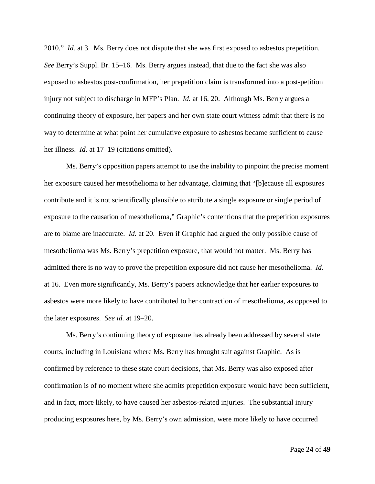2010." *Id.* at 3. Ms. Berry does not dispute that she was first exposed to asbestos prepetition. *See* Berry's Suppl. Br. 15–16. Ms. Berry argues instead, that due to the fact she was also exposed to asbestos post-confirmation, her prepetition claim is transformed into a post-petition injury not subject to discharge in MFP's Plan. *Id.* at 16, 20. Although Ms. Berry argues a continuing theory of exposure, her papers and her own state court witness admit that there is no way to determine at what point her cumulative exposure to asbestos became sufficient to cause her illness. *Id.* at 17–19 (citations omitted).

Ms. Berry's opposition papers attempt to use the inability to pinpoint the precise moment her exposure caused her mesothelioma to her advantage, claiming that "[b]ecause all exposures contribute and it is not scientifically plausible to attribute a single exposure or single period of exposure to the causation of mesothelioma," Graphic's contentions that the prepetition exposures are to blame are inaccurate. *Id.* at 20. Even if Graphic had argued the only possible cause of mesothelioma was Ms. Berry's prepetition exposure, that would not matter. Ms. Berry has admitted there is no way to prove the prepetition exposure did not cause her mesothelioma. *Id.* at 16. Even more significantly, Ms. Berry's papers acknowledge that her earlier exposures to asbestos were more likely to have contributed to her contraction of mesothelioma, as opposed to the later exposures. *See id.* at 19–20.

Ms. Berry's continuing theory of exposure has already been addressed by several state courts, including in Louisiana where Ms. Berry has brought suit against Graphic. As is confirmed by reference to these state court decisions, that Ms. Berry was also exposed after confirmation is of no moment where she admits prepetition exposure would have been sufficient, and in fact, more likely, to have caused her asbestos-related injuries. The substantial injury producing exposures here, by Ms. Berry's own admission, were more likely to have occurred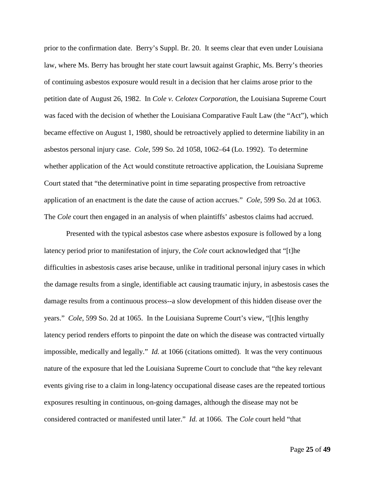prior to the confirmation date. Berry's Suppl. Br. 20. It seems clear that even under Louisiana law, where Ms. Berry has brought her state court lawsuit against Graphic, Ms. Berry's theories of continuing asbestos exposure would result in a decision that her claims arose prior to the petition date of August 26, 1982. In *Cole v. Celotex Corporation*, the Louisiana Supreme Court was faced with the decision of whether the Louisiana Comparative Fault Law (the "Act"), which became effective on August 1, 1980, should be retroactively applied to determine liability in an asbestos personal injury case. *Cole*, 599 So. 2d 1058, 1062–64 (Lo. 1992). To determine whether application of the Act would constitute retroactive application, the Louisiana Supreme Court stated that "the determinative point in time separating prospective from retroactive application of an enactment is the date the cause of action accrues." *Cole*, 599 So. 2d at 1063. The *Cole* court then engaged in an analysis of when plaintiffs' asbestos claims had accrued.

Presented with the typical asbestos case where asbestos exposure is followed by a long latency period prior to manifestation of injury, the *Cole* court acknowledged that "[t]he difficulties in asbestosis cases arise because, unlike in traditional personal injury cases in which the damage results from a single, identifiable act causing traumatic injury, in asbestosis cases the damage results from a continuous process--a slow development of this hidden disease over the years." *Cole*, 599 So. 2d at 1065. In the Louisiana Supreme Court's view, "[t]his lengthy latency period renders efforts to pinpoint the date on which the disease was contracted virtually impossible, medically and legally." *Id.* at 1066 (citations omitted). It was the very continuous nature of the exposure that led the Louisiana Supreme Court to conclude that "the key relevant events giving rise to a claim in long-latency occupational disease cases are the repeated tortious exposures resulting in continuous, on-going damages, although the disease may not be considered contracted or manifested until later." *Id.* at 1066. The *Cole* court held "that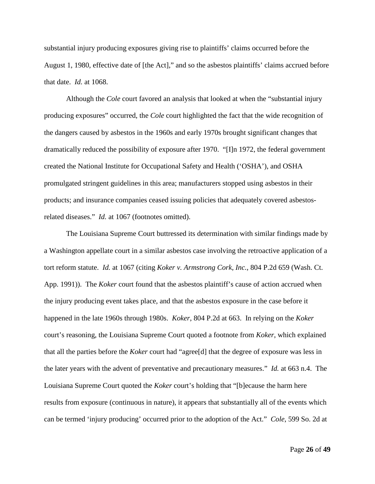substantial injury producing exposures giving rise to plaintiffs' claims occurred before the August 1, 1980, effective date of [the Act]," and so the asbestos plaintiffs' claims accrued before that date. *Id.* at 1068.

Although the *Cole* court favored an analysis that looked at when the "substantial injury producing exposures" occurred, the *Cole* court highlighted the fact that the wide recognition of the dangers caused by asbestos in the 1960s and early 1970s brought significant changes that dramatically reduced the possibility of exposure after 1970. "[I]n 1972, the federal government created the National Institute for Occupational Safety and Health ('OSHA'), and OSHA promulgated stringent guidelines in this area; manufacturers stopped using asbestos in their products; and insurance companies ceased issuing policies that adequately covered asbestosrelated diseases." *Id.* at 1067 (footnotes omitted).

The Louisiana Supreme Court buttressed its determination with similar findings made by a Washington appellate court in a similar asbestos case involving the retroactive application of a tort reform statute. *Id.* at 1067 (citing *Koker v. Armstrong Cork, Inc.*, 804 P.2d 659 (Wash. Ct. App. 1991)). The *Koker* court found that the asbestos plaintiff's cause of action accrued when the injury producing event takes place, and that the asbestos exposure in the case before it happened in the late 1960s through 1980s. *Koker*, 804 P.2d at 663. In relying on the *Koker* court's reasoning, the Louisiana Supreme Court quoted a footnote from *Koker*, which explained that all the parties before the *Koker* court had "agree[d] that the degree of exposure was less in the later years with the advent of preventative and precautionary measures." *Id.* at 663 n.4. The Louisiana Supreme Court quoted the *Koker* court's holding that "[b]ecause the harm here results from exposure (continuous in nature), it appears that substantially all of the events which can be termed 'injury producing' occurred prior to the adoption of the Act." *Cole*, 599 So. 2d at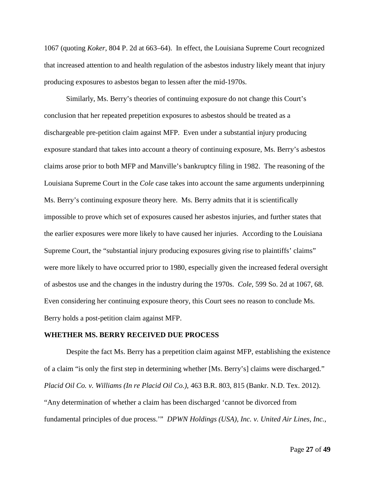1067 (quoting *Koker*, 804 P. 2d at 663–64). In effect, the Louisiana Supreme Court recognized that increased attention to and health regulation of the asbestos industry likely meant that injury producing exposures to asbestos began to lessen after the mid-1970s.

Similarly, Ms. Berry's theories of continuing exposure do not change this Court's conclusion that her repeated prepetition exposures to asbestos should be treated as a dischargeable pre-petition claim against MFP. Even under a substantial injury producing exposure standard that takes into account a theory of continuing exposure, Ms. Berry's asbestos claims arose prior to both MFP and Manville's bankruptcy filing in 1982. The reasoning of the Louisiana Supreme Court in the *Cole* case takes into account the same arguments underpinning Ms. Berry's continuing exposure theory here. Ms. Berry admits that it is scientifically impossible to prove which set of exposures caused her asbestos injuries, and further states that the earlier exposures were more likely to have caused her injuries. According to the Louisiana Supreme Court, the "substantial injury producing exposures giving rise to plaintiffs' claims" were more likely to have occurred prior to 1980, especially given the increased federal oversight of asbestos use and the changes in the industry during the 1970s. *Cole*, 599 So. 2d at 1067, 68. Even considering her continuing exposure theory, this Court sees no reason to conclude Ms. Berry holds a post-petition claim against MFP.

#### **WHETHER MS. BERRY RECEIVED DUE PROCESS**

Despite the fact Ms. Berry has a prepetition claim against MFP, establishing the existence of a claim "is only the first step in determining whether [Ms. Berry's] claims were discharged." *Placid Oil Co. v. Williams (In re Placid Oil Co.)*, 463 B.R. 803, 815 (Bankr. N.D. Tex. 2012). "Any determination of whether a claim has been discharged 'cannot be divorced from fundamental principles of due process.'" *DPWN Holdings (USA), Inc. v. United Air Lines, Inc.*,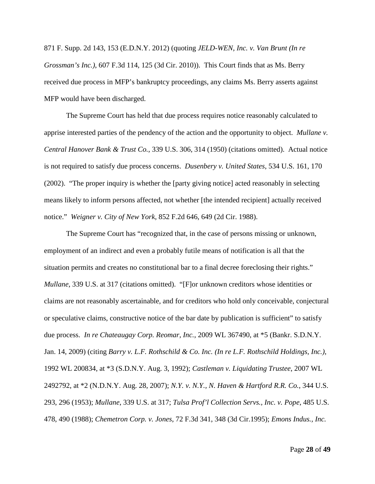871 F. Supp. 2d 143, 153 (E.D.N.Y. 2012) (quoting *JELD-WEN, Inc. v. Van Brunt (In re Grossman's Inc.)*, 607 F.3d 114, 125 (3d Cir. 2010)). This Court finds that as Ms. Berry received due process in MFP's bankruptcy proceedings, any claims Ms. Berry asserts against MFP would have been discharged.

The Supreme Court has held that due process requires notice reasonably calculated to apprise interested parties of the pendency of the action and the opportunity to object. *Mullane v. Central Hanover Bank & Trust Co.*, 339 U.S. 306, 314 (1950) (citations omitted). Actual notice is not required to satisfy due process concerns. *Dusenbery v. United States*, 534 U.S. 161, 170 (2002). "The proper inquiry is whether the [party giving notice] acted reasonably in selecting means likely to inform persons affected, not whether [the intended recipient] actually received notice." *Weigner v. City of New York*, 852 F.2d 646, 649 (2d Cir. 1988).

The Supreme Court has "recognized that, in the case of persons missing or unknown, employment of an indirect and even a probably futile means of notification is all that the situation permits and creates no constitutional bar to a final decree foreclosing their rights." *Mullane*, 339 U.S. at 317 (citations omitted). "[F]or unknown creditors whose identities or claims are not reasonably ascertainable, and for creditors who hold only conceivable, conjectural or speculative claims, constructive notice of the bar date by publication is sufficient" to satisfy due process. *In re Chateaugay Corp. Reomar, Inc.*, 2009 WL 367490, at \*5 (Bankr. S.D.N.Y. Jan. 14, 2009) (citing *Barry v. L.F. Rothschild & Co. Inc. (In re L.F. Rothschild Holdings, Inc.)*, 1992 WL 200834, at \*3 (S.D.N.Y. Aug. 3, 1992); *Castleman v. Liquidating Trustee*, 2007 WL 2492792, at \*2 (N.D.N.Y. Aug. 28, 2007); *N.Y. v. N.Y., N. Haven & Hartford R.R. Co.*, 344 U.S. 293, 296 (1953); *Mullane*, 339 U.S. at 317; *Tulsa Prof'l Collection Servs., Inc. v. Pope*, 485 U.S. 478, 490 (1988); *Chemetron Corp. v. Jones*, 72 F.3d 341, 348 (3d Cir.1995); *Emons Indus., Inc.*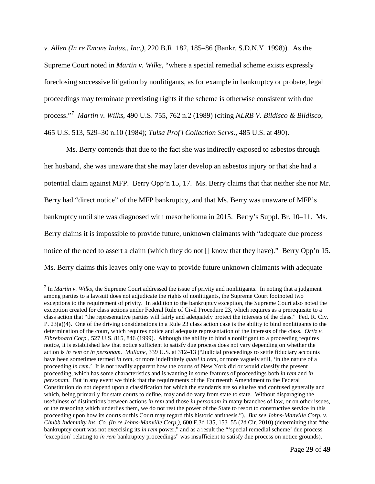*v. Allen (In re Emons Indus., Inc.)*, 220 B.R. 182, 185–86 (Bankr. S.D.N.Y. 1998)). As the Supreme Court noted in *Martin v. Wilks*, "where a special remedial scheme exists expressly foreclosing successive litigation by nonlitigants, as for example in bankruptcy or probate, legal proceedings may terminate preexisting rights if the scheme is otherwise consistent with due process."[7](#page-28-0) *Martin v. Wilks*, 490 U.S. 755, 762 n.2 (1989) (citing *NLRB V. Bildisco & Bildisco*, 465 U.S. 513, 529–30 n.10 (1984); *Tulsa Prof'l Collection Servs.*, 485 U.S. at 490).

Ms. Berry contends that due to the fact she was indirectly exposed to asbestos through her husband, she was unaware that she may later develop an asbestos injury or that she had a potential claim against MFP. Berry Opp'n 15, 17. Ms. Berry claims that that neither she nor Mr. Berry had "direct notice" of the MFP bankruptcy, and that Ms. Berry was unaware of MFP's bankruptcy until she was diagnosed with mesothelioma in 2015. Berry's Suppl. Br. 10–11. Ms. Berry claims it is impossible to provide future, unknown claimants with "adequate due process notice of the need to assert a claim (which they do not [] know that they have)." Berry Opp'n 15. Ms. Berry claims this leaves only one way to provide future unknown claimants with adequate

<span id="page-28-0"></span> <sup>7</sup> In *Martin v. Wilks*, the Supreme Court addressed the issue of privity and nonlitigants. In noting that a judgment among parties to a lawsuit does not adjudicate the rights of nonlitigants, the Supreme Court footnoted two exceptions to the requirement of privity. In addition to the bankruptcy exception, the Supreme Court also noted the exception created for class actions under Federal Rule of Civil Procedure 23, which requires as a prerequisite to a class action that "the representative parties will fairly and adequately protect the interests of the class." Fed. R. Civ. P. 23(a)(4). One of the driving considerations in a Rule 23 class action case is the ability to bind nonlitigants to the determination of the court, which requires notice and adequate representation of the interests of the class. *Ortiz v. Fibreboard Corp.*, 527 U.S. 815, 846 (1999). Although the ability to bind a nonlitigant to a proceeding requires notice, it is established law that notice sufficient to satisfy due process does not vary depending on whether the action is *in rem* or *in personam*. *Mullane*, 339 U.S. at 312–13 ("Judicial proceedings to settle fiduciary accounts have been sometimes termed *in rem*, or more indefinitely *quasi in rem*, or more vaguely still, 'in the nature of a proceeding *in rem*.' It is not readily apparent how the courts of New York did or would classify the present proceeding, which has some characteristics and is wanting in some features of proceedings both *in rem* and *in personam*. But in any event we think that the requirements of the Fourteenth Amendment to the Federal Constitution do not depend upon a classification for which the standards are so elusive and confused generally and which, being primarily for state courts to define, may and do vary from state to state. Without disparaging the usefulness of distinctions between actions *in rem* and those *in personam* in many branches of law, or on other issues, or the reasoning which underlies them, we do not rest the power of the State to resort to constructive service in this proceeding upon how its courts or this Court may regard this historic antithesis."). *But see Johns-Manville Corp. v. Chubb Indemnity Ins. Co. (In re Johns-Manville Corp.)*, 600 F.3d 135, 153–55 (2d Cir. 2010) (determining that "the bankruptcy court was not exercising its *in rem* power," and as a result the "'special remedial scheme' due process 'exception' relating to *in rem* bankruptcy proceedings" was insufficient to satisfy due process on notice grounds).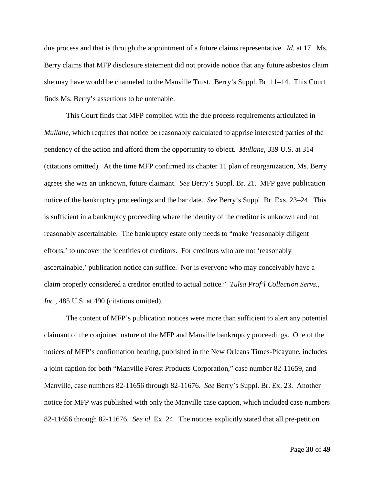due process and that is through the appointment of a future claims representative. *Id.* at 17. Ms. Berry claims that MFP disclosure statement did not provide notice that any future asbestos claim she may have would be channeled to the Manville Trust. Berry's Suppl. Br. 11–14. This Court finds Ms. Berry's assertions to be untenable.

This Court finds that MFP complied with the due process requirements articulated in *Mullane*, which requires that notice be reasonably calculated to apprise interested parties of the pendency of the action and afford them the opportunity to object. *Mullane*, 339 U.S. at 314 (citations omitted). At the time MFP confirmed its chapter 11 plan of reorganization, Ms. Berry agrees she was an unknown, future claimant. *See* Berry's Suppl. Br. 21. MFP gave publication notice of the bankruptcy proceedings and the bar date. *See* Berry's Suppl. Br. Exs. 23–24. This is sufficient in a bankruptcy proceeding where the identity of the creditor is unknown and not reasonably ascertainable. The bankruptcy estate only needs to "make 'reasonably diligent efforts,' to uncover the identities of creditors. For creditors who are not 'reasonably ascertainable,' publication notice can suffice. Nor is everyone who may conceivably have a claim properly considered a creditor entitled to actual notice." *Tulsa Prof'l Collection Servs.,*  Inc., 485 U.S. at 490 (citations omitted).

The content of MFP's publication notices were more than sufficient to alert any potential claimant of the conjoined nature of the MFP and Manville bankruptcy proceedings. One of the notices of MFP's confirmation hearing, published in the New Orleans Times-Picayune, includes a joint caption for both "Manville Forest Products Corporation," case number 82-11659, and Manville, case numbers 82-11656 through 82-11676. *See* Berry's Suppl. Br. Ex. 23. Another notice for MFP was published with only the Manville case caption, which included case numbers 82-11656 through 82-11676. *See id.* Ex. 24. The notices explicitly stated that all pre-petition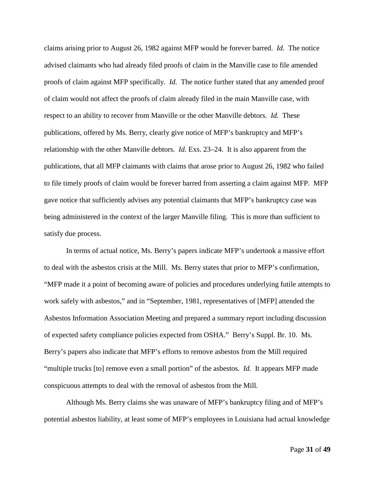claims arising prior to August 26, 1982 against MFP would be forever barred. *Id.* The notice advised claimants who had already filed proofs of claim in the Manville case to file amended proofs of claim against MFP specifically. *Id.* The notice further stated that any amended proof of claim would not affect the proofs of claim already filed in the main Manville case, with respect to an ability to recover from Manville or the other Manville debtors. *Id.* These publications, offered by Ms. Berry, clearly give notice of MFP's bankruptcy and MFP's relationship with the other Manville debtors. *Id.* Exs. 23–24. It is also apparent from the publications, that all MFP claimants with claims that arose prior to August 26, 1982 who failed to file timely proofs of claim would be forever barred from asserting a claim against MFP. MFP gave notice that sufficiently advises any potential claimants that MFP's bankruptcy case was being administered in the context of the larger Manville filing. This is more than sufficient to satisfy due process.

In terms of actual notice, Ms. Berry's papers indicate MFP's undertook a massive effort to deal with the asbestos crisis at the Mill. Ms. Berry states that prior to MFP's confirmation, "MFP made it a point of becoming aware of policies and procedures underlying futile attempts to work safely with asbestos," and in "September, 1981, representatives of [MFP] attended the Asbestos Information Association Meeting and prepared a summary report including discussion of expected safety compliance policies expected from OSHA." Berry's Suppl. Br. 10. Ms. Berry's papers also indicate that MFP's efforts to remove asbestos from the Mill required "multiple trucks [to] remove even a small portion" of the asbestos. *Id.* It appears MFP made conspicuous attempts to deal with the removal of asbestos from the Mill.

Although Ms. Berry claims she was unaware of MFP's bankruptcy filing and of MFP's potential asbestos liability, at least some of MFP's employees in Louisiana had actual knowledge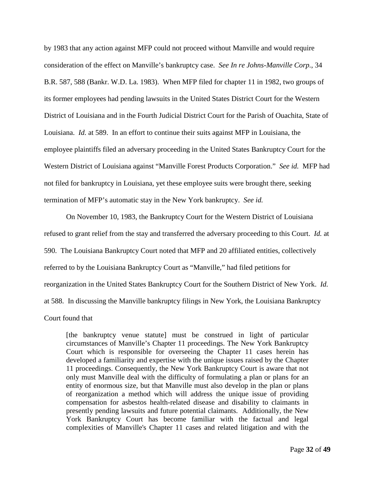by 1983 that any action against MFP could not proceed without Manville and would require consideration of the effect on Manville's bankruptcy case. *See In re Johns-Manville Corp.*, 34 B.R. 587, 588 (Bankr. W.D. La. 1983). When MFP filed for chapter 11 in 1982, two groups of its former employees had pending lawsuits in the United States District Court for the Western District of Louisiana and in the Fourth Judicial District Court for the Parish of Ouachita, State of Louisiana. *Id.* at 589. In an effort to continue their suits against MFP in Louisiana, the employee plaintiffs filed an adversary proceeding in the United States Bankruptcy Court for the Western District of Louisiana against "Manville Forest Products Corporation." *See id.* MFP had not filed for bankruptcy in Louisiana, yet these employee suits were brought there, seeking termination of MFP's automatic stay in the New York bankruptcy. *See id.*

On November 10, 1983, the Bankruptcy Court for the Western District of Louisiana refused to grant relief from the stay and transferred the adversary proceeding to this Court. *Id.* at 590. The Louisiana Bankruptcy Court noted that MFP and 20 affiliated entities, collectively referred to by the Louisiana Bankruptcy Court as "Manville," had filed petitions for reorganization in the United States Bankruptcy Court for the Southern District of New York. *Id.* at 588. In discussing the Manville bankruptcy filings in New York, the Louisiana Bankruptcy Court found that

[the bankruptcy venue statute] must be construed in light of particular circumstances of Manville's Chapter 11 proceedings. The New York Bankruptcy Court which is responsible for overseeing the Chapter 11 cases herein has developed a familiarity and expertise with the unique issues raised by the Chapter 11 proceedings. Consequently, the New York Bankruptcy Court is aware that not only must Manville deal with the difficulty of formulating a plan or plans for an entity of enormous size, but that Manville must also develop in the plan or plans of reorganization a method which will address the unique issue of providing compensation for asbestos health-related disease and disability to claimants in presently pending lawsuits and future potential claimants. Additionally, the New York Bankruptcy Court has become familiar with the factual and legal complexities of Manville's Chapter 11 cases and related litigation and with the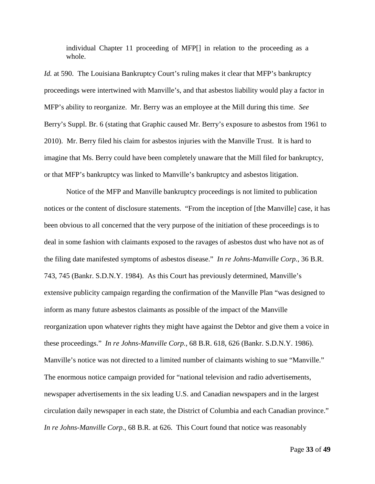individual Chapter 11 proceeding of MFP[] in relation to the proceeding as a whole.

*Id.* at 590. The Louisiana Bankruptcy Court's ruling makes it clear that MFP's bankruptcy proceedings were intertwined with Manville's, and that asbestos liability would play a factor in MFP's ability to reorganize. Mr. Berry was an employee at the Mill during this time. *See* Berry's Suppl. Br. 6 (stating that Graphic caused Mr. Berry's exposure to asbestos from 1961 to 2010). Mr. Berry filed his claim for asbestos injuries with the Manville Trust. It is hard to imagine that Ms. Berry could have been completely unaware that the Mill filed for bankruptcy, or that MFP's bankruptcy was linked to Manville's bankruptcy and asbestos litigation.

Notice of the MFP and Manville bankruptcy proceedings is not limited to publication notices or the content of disclosure statements. "From the inception of [the Manville] case, it has been obvious to all concerned that the very purpose of the initiation of these proceedings is to deal in some fashion with claimants exposed to the ravages of asbestos dust who have not as of the filing date manifested symptoms of asbestos disease." *In re Johns-Manville Corp.*, 36 B.R. 743, 745 (Bankr. S.D.N.Y. 1984). As this Court has previously determined, Manville's extensive publicity campaign regarding the confirmation of the Manville Plan "was designed to inform as many future asbestos claimants as possible of the impact of the Manville reorganization upon whatever rights they might have against the Debtor and give them a voice in these proceedings." *In re Johns-Manville Corp.*, 68 B.R. 618, 626 (Bankr. S.D.N.Y. 1986). Manville's notice was not directed to a limited number of claimants wishing to sue "Manville." The enormous notice campaign provided for "national television and radio advertisements, newspaper advertisements in the six leading U.S. and Canadian newspapers and in the largest circulation daily newspaper in each state, the District of Columbia and each Canadian province." *In re Johns-Manville Corp.*, 68 B.R. at 626. This Court found that notice was reasonably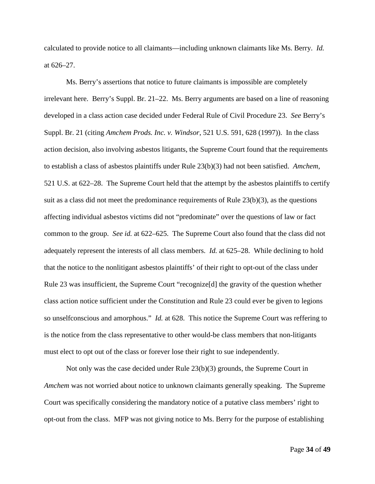calculated to provide notice to all claimants—including unknown claimants like Ms. Berry. *Id.* at 626–27.

Ms. Berry's assertions that notice to future claimants is impossible are completely irrelevant here. Berry's Suppl. Br. 21–22. Ms. Berry arguments are based on a line of reasoning developed in a class action case decided under Federal Rule of Civil Procedure 23. *See* Berry's Suppl. Br. 21 (citing *Amchem Prods. Inc. v. Windsor*, 521 U.S. 591, 628 (1997)). In the class action decision, also involving asbestos litigants, the Supreme Court found that the requirements to establish a class of asbestos plaintiffs under Rule 23(b)(3) had not been satisfied. *Amchem*, 521 U.S. at 622–28. The Supreme Court held that the attempt by the asbestos plaintiffs to certify suit as a class did not meet the predominance requirements of Rule 23(b)(3), as the questions affecting individual asbestos victims did not "predominate" over the questions of law or fact common to the group. *See id.* at 622–625. The Supreme Court also found that the class did not adequately represent the interests of all class members. *Id.* at 625–28. While declining to hold that the notice to the nonlitigant asbestos plaintiffs' of their right to opt-out of the class under Rule 23 was insufficient, the Supreme Court "recognize[d] the gravity of the question whether class action notice sufficient under the Constitution and Rule 23 could ever be given to legions so unselfconscious and amorphous." *Id.* at 628. This notice the Supreme Court was reffering to is the notice from the class representative to other would-be class members that non-litigants must elect to opt out of the class or forever lose their right to sue independently.

Not only was the case decided under Rule 23(b)(3) grounds, the Supreme Court in *Amchem* was not worried about notice to unknown claimants generally speaking. The Supreme Court was specifically considering the mandatory notice of a putative class members' right to opt-out from the class. MFP was not giving notice to Ms. Berry for the purpose of establishing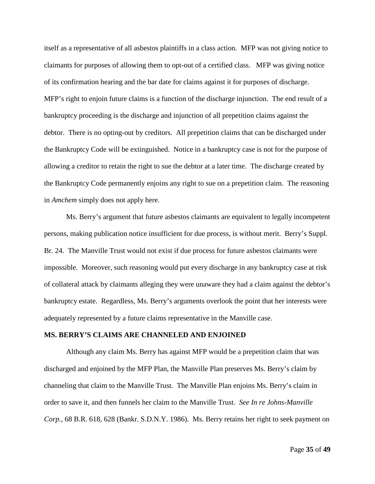itself as a representative of all asbestos plaintiffs in a class action. MFP was not giving notice to claimants for purposes of allowing them to opt-out of a certified class. MFP was giving notice of its confirmation hearing and the bar date for claims against it for purposes of discharge. MFP's right to enjoin future claims is a function of the discharge injunction. The end result of a bankruptcy proceeding is the discharge and injunction of all prepetition claims against the debtor. There is no opting-out by creditors. All prepetition claims that can be discharged under the Bankruptcy Code will be extinguished. Notice in a bankruptcy case is not for the purpose of allowing a creditor to retain the right to sue the debtor at a later time. The discharge created by the Bankruptcy Code permanently enjoins any right to sue on a prepetition claim. The reasoning in *Amchem* simply does not apply here.

Ms. Berry's argument that future asbestos claimants are equivalent to legally incompetent persons, making publication notice insufficient for due process, is without merit. Berry's Suppl. Br. 24. The Manville Trust would not exist if due process for future asbestos claimants were impossible. Moreover, such reasoning would put every discharge in any bankruptcy case at risk of collateral attack by claimants alleging they were unaware they had a claim against the debtor's bankruptcy estate. Regardless, Ms. Berry's arguments overlook the point that her interests were adequately represented by a future claims representative in the Manville case.

## **MS. BERRY'S CLAIMS ARE CHANNELED AND ENJOINED**

Although any claim Ms. Berry has against MFP would be a prepetition claim that was discharged and enjoined by the MFP Plan, the Manville Plan preserves Ms. Berry's claim by channeling that claim to the Manville Trust. The Manville Plan enjoins Ms. Berry's claim in order to save it, and then funnels her claim to the Manville Trust. *See In re Johns-Manville Corp.*, 68 B.R. 618, 628 (Bankr. S.D.N.Y. 1986). Ms. Berry retains her right to seek payment on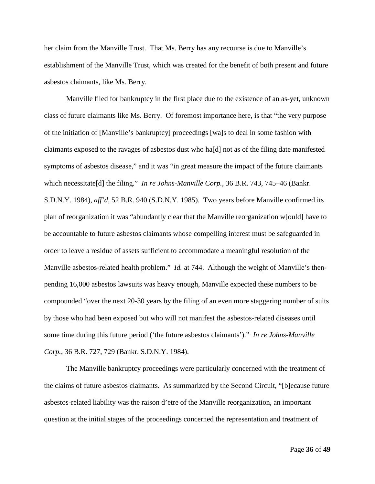her claim from the Manville Trust. That Ms. Berry has any recourse is due to Manville's establishment of the Manville Trust, which was created for the benefit of both present and future asbestos claimants, like Ms. Berry.

Manville filed for bankruptcy in the first place due to the existence of an as-yet, unknown class of future claimants like Ms. Berry. Of foremost importance here, is that "the very purpose of the initiation of [Manville's bankruptcy] proceedings [wa]s to deal in some fashion with claimants exposed to the ravages of asbestos dust who ha[d] not as of the filing date manifested symptoms of asbestos disease," and it was "in great measure the impact of the future claimants which necessitate[d] the filing." *In re Johns-Manville Corp.*, 36 B.R. 743, 745–46 (Bankr. S.D.N.Y. 1984), *aff'd*, 52 B.R. 940 (S.D.N.Y. 1985). Two years before Manville confirmed its plan of reorganization it was "abundantly clear that the Manville reorganization w[ould] have to be accountable to future asbestos claimants whose compelling interest must be safeguarded in order to leave a residue of assets sufficient to accommodate a meaningful resolution of the Manville asbestos-related health problem." *Id.* at 744. Although the weight of Manville's thenpending 16,000 asbestos lawsuits was heavy enough, Manville expected these numbers to be compounded "over the next 20-30 years by the filing of an even more staggering number of suits by those who had been exposed but who will not manifest the asbestos-related diseases until some time during this future period ('the future asbestos claimants')." *In re Johns-Manville Corp.*, 36 B.R. 727, 729 (Bankr. S.D.N.Y. 1984).

The Manville bankruptcy proceedings were particularly concerned with the treatment of the claims of future asbestos claimants. As summarized by the Second Circuit, "[b]ecause future asbestos-related liability was the raison d'etre of the Manville reorganization, an important question at the initial stages of the proceedings concerned the representation and treatment of

Page **36** of **49**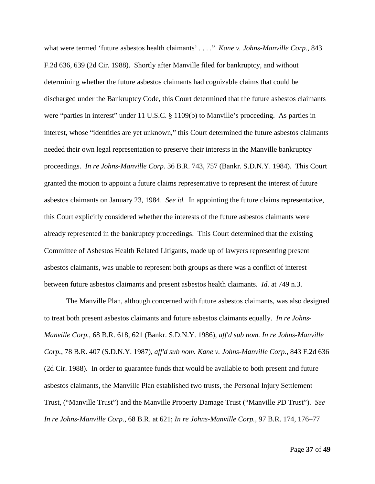what were termed 'future asbestos health claimants' . . . ." *Kane v. Johns-Manville Corp.*, 843 F.2d 636, 639 (2d Cir. 1988). Shortly after Manville filed for bankruptcy, and without determining whether the future asbestos claimants had cognizable claims that could be discharged under the Bankruptcy Code, this Court determined that the future asbestos claimants were "parties in interest" under 11 U.S.C. § 1109(b) to Manville's proceeding. As parties in interest, whose "identities are yet unknown," this Court determined the future asbestos claimants needed their own legal representation to preserve their interests in the Manville bankruptcy proceedings. *In re Johns-Manville Corp.* 36 B.R. 743, 757 (Bankr. S.D.N.Y. 1984). This Court granted the motion to appoint a future claims representative to represent the interest of future asbestos claimants on January 23, 1984. *See id.* In appointing the future claims representative, this Court explicitly considered whether the interests of the future asbestos claimants were already represented in the bankruptcy proceedings. This Court determined that the existing Committee of Asbestos Health Related Litigants, made up of lawyers representing present asbestos claimants, was unable to represent both groups as there was a conflict of interest between future asbestos claimants and present asbestos health claimants. *Id.* at 749 n.3.

The Manville Plan, although concerned with future asbestos claimants, was also designed to treat both present asbestos claimants and future asbestos claimants equally. *In re Johns-Manville Corp.*, 68 B.R. 618, 621 (Bankr. S.D.N.Y. 1986), *aff'd sub nom. In re Johns-Manville Corp.*, 78 B.R. 407 (S.D.N.Y. 1987), *aff'd sub nom. Kane v. Johns-Manville Corp.*, 843 F.2d 636 (2d Cir. 1988). In order to guarantee funds that would be available to both present and future asbestos claimants, the Manville Plan established two trusts, the Personal Injury Settlement Trust, ("Manville Trust") and the Manville Property Damage Trust ("Manville PD Trust"). *See In re Johns-Manville Corp.*, 68 B.R. at 621; *In re Johns-Manville Corp.*, 97 B.R. 174, 176–77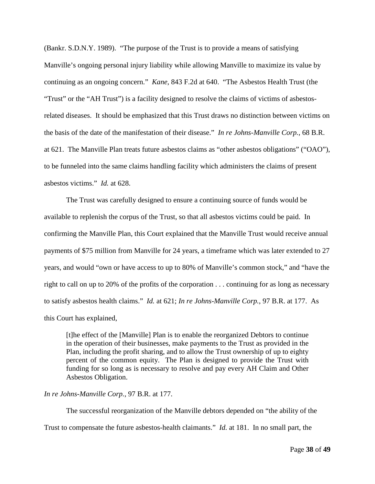(Bankr. S.D.N.Y. 1989). "The purpose of the Trust is to provide a means of satisfying Manville's ongoing personal injury liability while allowing Manville to maximize its value by continuing as an ongoing concern." *Kane*, 843 F.2d at 640. "The Asbestos Health Trust (the "Trust" or the "AH Trust") is a facility designed to resolve the claims of victims of asbestosrelated diseases. It should be emphasized that this Trust draws no distinction between victims on the basis of the date of the manifestation of their disease." *In re Johns-Manville Corp.*, 68 B.R. at 621. The Manville Plan treats future asbestos claims as "other asbestos obligations" ("OAO"), to be funneled into the same claims handling facility which administers the claims of present asbestos victims." *Id.* at 628.

The Trust was carefully designed to ensure a continuing source of funds would be available to replenish the corpus of the Trust, so that all asbestos victims could be paid. In confirming the Manville Plan, this Court explained that the Manville Trust would receive annual payments of \$75 million from Manville for 24 years, a timeframe which was later extended to 27 years, and would "own or have access to up to 80% of Manville's common stock," and "have the right to call on up to 20% of the profits of the corporation . . . continuing for as long as necessary to satisfy asbestos health claims." *Id.* at 621; *In re Johns-Manville Corp.*, 97 B.R. at 177. As this Court has explained,

[t]he effect of the [Manville] Plan is to enable the reorganized Debtors to continue in the operation of their businesses, make payments to the Trust as provided in the Plan, including the profit sharing, and to allow the Trust ownership of up to eighty percent of the common equity. The Plan is designed to provide the Trust with funding for so long as is necessary to resolve and pay every AH Claim and Other Asbestos Obligation.

## *In re Johns-Manville Corp.*, 97 B.R. at 177.

The successful reorganization of the Manville debtors depended on "the ability of the Trust to compensate the future asbestos-health claimants." *Id.* at 181. In no small part, the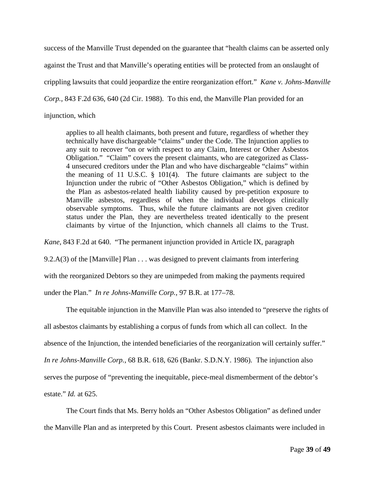success of the Manville Trust depended on the guarantee that "health claims can be asserted only against the Trust and that Manville's operating entities will be protected from an onslaught of crippling lawsuits that could jeopardize the entire reorganization effort." *Kane v. Johns-Manville Corp.*, 843 F.2d 636, 640 (2d Cir. 1988). To this end, the Manville Plan provided for an injunction, which

applies to all health claimants, both present and future, regardless of whether they technically have dischargeable "claims" under the Code. The Injunction applies to

any suit to recover "on or with respect to any Claim, Interest or Other Asbestos Obligation." "Claim" covers the present claimants, who are categorized as Class-4 unsecured creditors under the Plan and who have dischargeable "claims" within the meaning of 11 U.S.C. § 101(4). The future claimants are subject to the Injunction under the rubric of "Other Asbestos Obligation," which is defined by the Plan as asbestos-related health liability caused by pre-petition exposure to Manville asbestos, regardless of when the individual develops clinically observable symptoms. Thus, while the future claimants are not given creditor status under the Plan, they are nevertheless treated identically to the present claimants by virtue of the Injunction, which channels all claims to the Trust.

*Kane*, 843 F.2d at 640. "The permanent injunction provided in Article IX, paragraph

9.2.A(3) of the [Manville] Plan . . . was designed to prevent claimants from interfering

with the reorganized Debtors so they are unimpeded from making the payments required

under the Plan." *In re Johns-Manville Corp.*, 97 B.R. at 177–78.

The equitable injunction in the Manville Plan was also intended to "preserve the rights of all asbestos claimants by establishing a corpus of funds from which all can collect. In the absence of the Injunction, the intended beneficiaries of the reorganization will certainly suffer." *In re Johns-Manville Corp.*, 68 B.R. 618, 626 (Bankr. S.D.N.Y. 1986). The injunction also serves the purpose of "preventing the inequitable, piece-meal dismemberment of the debtor's estate." *Id.* at 625.

The Court finds that Ms. Berry holds an "Other Asbestos Obligation" as defined under the Manville Plan and as interpreted by this Court. Present asbestos claimants were included in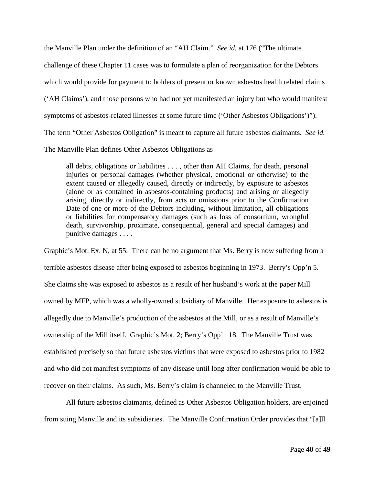the Manville Plan under the definition of an "AH Claim." *See id.* at 176 ("The ultimate challenge of these Chapter 11 cases was to formulate a plan of reorganization for the Debtors which would provide for payment to holders of present or known asbestos health related claims ('AH Claims'), and those persons who had not yet manifested an injury but who would manifest symptoms of asbestos-related illnesses at some future time ('Other Asbestos Obligations')"). The term "Other Asbestos Obligation" is meant to capture all future asbestos claimants. *See id.* The Manville Plan defines Other Asbestos Obligations as

all debts, obligations or liabilities . . . , other than AH Claims, for death, personal injuries or personal damages (whether physical, emotional or otherwise) to the extent caused or allegedly caused, directly or indirectly, by exposure to asbestos (alone or as contained in asbestos-containing products) and arising or allegedly arising, directly or indirectly, from acts or omissions prior to the Confirmation Date of one or more of the Debtors including, without limitation, all obligations or liabilities for compensatory damages (such as loss of consortium, wrongful death, survivorship, proximate, consequential, general and special damages) and punitive damages . . . .

Graphic's Mot. Ex. N, at 55. There can be no argument that Ms. Berry is now suffering from a terrible asbestos disease after being exposed to asbestos beginning in 1973. Berry's Opp'n 5. She claims she was exposed to asbestos as a result of her husband's work at the paper Mill owned by MFP, which was a wholly-owned subsidiary of Manville. Her exposure to asbestos is allegedly due to Manville's production of the asbestos at the Mill, or as a result of Manville's ownership of the Mill itself. Graphic's Mot. 2; Berry's Opp'n 18. The Manville Trust was established precisely so that future asbestos victims that were exposed to asbestos prior to 1982 and who did not manifest symptoms of any disease until long after confirmation would be able to recover on their claims. As such, Ms. Berry's claim is channeled to the Manville Trust.

All future asbestos claimants, defined as Other Asbestos Obligation holders, are enjoined from suing Manville and its subsidiaries. The Manville Confirmation Order provides that "[a]ll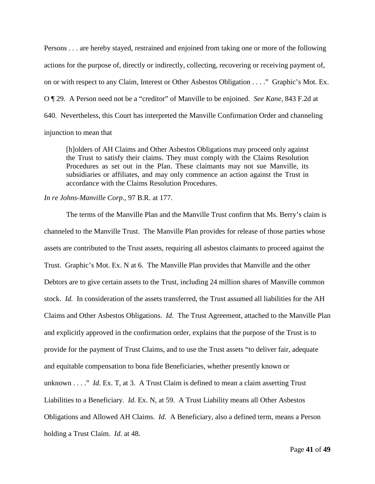Persons . . . are hereby stayed, restrained and enjoined from taking one or more of the following actions for the purpose of, directly or indirectly, collecting, recovering or receiving payment of, on or with respect to any Claim, Interest or Other Asbestos Obligation . . . ." Graphic's Mot. Ex. O ¶ 29. A Person need not be a "creditor" of Manville to be enjoined. *See Kane*, 843 F.2d at 640. Nevertheless, this Court has interpreted the Manville Confirmation Order and channeling injunction to mean that

[h]olders of AH Claims and Other Asbestos Obligations may proceed only against the Trust to satisfy their claims. They must comply with the Claims Resolution Procedures as set out in the Plan. These claimants may not sue Manville, its subsidiaries or affiliates, and may only commence an action against the Trust in accordance with the Claims Resolution Procedures.

## *In re Johns-Manville Corp.*, 97 B.R. at 177.

The terms of the Manville Plan and the Manville Trust confirm that Ms. Berry's claim is channeled to the Manville Trust. The Manville Plan provides for release of those parties whose assets are contributed to the Trust assets, requiring all asbestos claimants to proceed against the Trust. Graphic's Mot. Ex. N at 6. The Manville Plan provides that Manville and the other Debtors are to give certain assets to the Trust, including 24 million shares of Manville common stock. *Id.* In consideration of the assets transferred, the Trust assumed all liabilities for the AH Claims and Other Asbestos Obligations. *Id.* The Trust Agreement, attached to the Manville Plan and explicitly approved in the confirmation order, explains that the purpose of the Trust is to provide for the payment of Trust Claims, and to use the Trust assets "to deliver fair, adequate and equitable compensation to bona fide Beneficiaries, whether presently known or unknown . . . ." *Id.* Ex. T, at 3. A Trust Claim is defined to mean a claim asserting Trust Liabilities to a Beneficiary. *Id.* Ex. N, at 59. A Trust Liability means all Other Asbestos Obligations and Allowed AH Claims. *Id.* A Beneficiary, also a defined term, means a Person holding a Trust Claim. *Id.* at 48.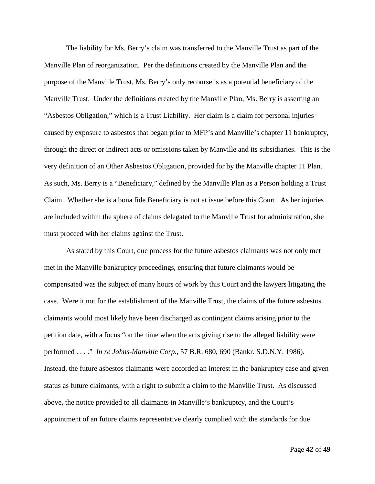The liability for Ms. Berry's claim was transferred to the Manville Trust as part of the Manville Plan of reorganization. Per the definitions created by the Manville Plan and the purpose of the Manville Trust, Ms. Berry's only recourse is as a potential beneficiary of the Manville Trust. Under the definitions created by the Manville Plan, Ms. Berry is asserting an "Asbestos Obligation," which is a Trust Liability. Her claim is a claim for personal injuries caused by exposure to asbestos that began prior to MFP's and Manville's chapter 11 bankruptcy, through the direct or indirect acts or omissions taken by Manville and its subsidiaries. This is the very definition of an Other Asbestos Obligation, provided for by the Manville chapter 11 Plan. As such, Ms. Berry is a "Beneficiary," defined by the Manville Plan as a Person holding a Trust Claim. Whether she is a bona fide Beneficiary is not at issue before this Court. As her injuries are included within the sphere of claims delegated to the Manville Trust for administration, she must proceed with her claims against the Trust.

As stated by this Court, due process for the future asbestos claimants was not only met met in the Manville bankruptcy proceedings, ensuring that future claimants would be compensated was the subject of many hours of work by this Court and the lawyers litigating the case. Were it not for the establishment of the Manville Trust, the claims of the future asbestos claimants would most likely have been discharged as contingent claims arising prior to the petition date, with a focus "on the time when the acts giving rise to the alleged liability were performed . . . ." *In re Johns-Manville Corp.*, 57 B.R. 680, 690 (Bankr. S.D.N.Y. 1986). Instead, the future asbestos claimants were accorded an interest in the bankruptcy case and given status as future claimants, with a right to submit a claim to the Manville Trust. As discussed above, the notice provided to all claimants in Manville's bankruptcy, and the Court's appointment of an future claims representative clearly complied with the standards for due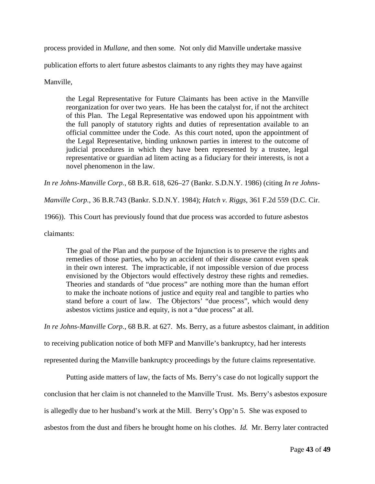process provided in *Mullane*, and then some. Not only did Manville undertake massive

publication efforts to alert future asbestos claimants to any rights they may have against

Manville,

the Legal Representative for Future Claimants has been active in the Manville reorganization for over two years. He has been the catalyst for, if not the architect of this Plan. The Legal Representative was endowed upon his appointment with the full panoply of statutory rights and duties of representation available to an official committee under the Code. As this court noted, upon the appointment of the Legal Representative, binding unknown parties in interest to the outcome of judicial procedures in which they have been represented by a trustee, legal representative or guardian ad litem acting as a fiduciary for their interests, is not a novel phenomenon in the law.

*In re Johns-Manville Corp.*, 68 B.R. 618, 626–27 (Bankr. S.D.N.Y. 1986) (citing *In re Johns-*

*Manville Corp.*, 36 B.R.743 (Bankr. S.D.N.Y. 1984); *Hatch v. Riggs*, 361 F.2d 559 (D.C. Cir.

1966)). This Court has previously found that due process was accorded to future asbestos

claimants:

The goal of the Plan and the purpose of the Injunction is to preserve the rights and remedies of those parties, who by an accident of their disease cannot even speak in their own interest. The impracticable, if not impossible version of due process envisioned by the Objectors would effectively destroy these rights and remedies. Theories and standards of "due process" are nothing more than the human effort to make the inchoate notions of justice and equity real and tangible to parties who stand before a court of law. The Objectors' "due process", which would deny asbestos victims justice and equity, is not a "due process" at all.

*In re Johns-Manville Corp.*, 68 B.R. at 627. Ms. Berry, as a future asbestos claimant, in addition

to receiving publication notice of both MFP and Manville's bankruptcy, had her interests

represented during the Manville bankruptcy proceedings by the future claims representative.

Putting aside matters of law, the facts of Ms. Berry's case do not logically support the conclusion that her claim is not channeled to the Manville Trust. Ms. Berry's asbestos exposure is allegedly due to her husband's work at the Mill. Berry's Opp'n 5. She was exposed to asbestos from the dust and fibers he brought home on his clothes. *Id.* Mr. Berry later contracted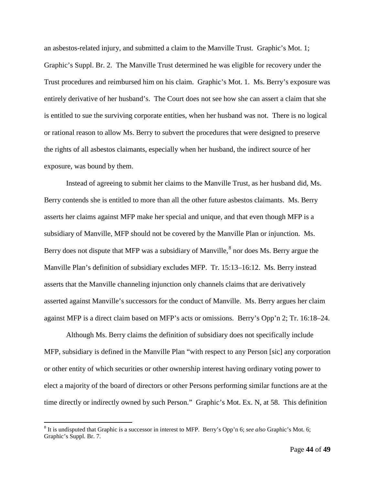an asbestos-related injury, and submitted a claim to the Manville Trust. Graphic's Mot. 1; Graphic's Suppl. Br. 2. The Manville Trust determined he was eligible for recovery under the Trust procedures and reimbursed him on his claim. Graphic's Mot. 1. Ms. Berry's exposure was entirely derivative of her husband's. The Court does not see how she can assert a claim that she is entitled to sue the surviving corporate entities, when her husband was not. There is no logical or rational reason to allow Ms. Berry to subvert the procedures that were designed to preserve the rights of all asbestos claimants, especially when her husband, the indirect source of her exposure, was bound by them.

Instead of agreeing to submit her claims to the Manville Trust, as her husband did, Ms. Berry contends she is entitled to more than all the other future asbestos claimants. Ms. Berry asserts her claims against MFP make her special and unique, and that even though MFP is a subsidiary of Manville, MFP should not be covered by the Manville Plan or injunction. Ms. Berry does not dispute that MFP was a subsidiary of Manville,<sup>[8](#page-43-0)</sup> nor does Ms. Berry argue the Manville Plan's definition of subsidiary excludes MFP. Tr. 15:13–16:12. Ms. Berry instead asserts that the Manville channeling injunction only channels claims that are derivatively asserted against Manville's successors for the conduct of Manville. Ms. Berry argues her claim against MFP is a direct claim based on MFP's acts or omissions. Berry's Opp'n 2; Tr. 16:18–24.

Although Ms. Berry claims the definition of subsidiary does not specifically include MFP, subsidiary is defined in the Manville Plan "with respect to any Person [sic] any corporation or other entity of which securities or other ownership interest having ordinary voting power to elect a majority of the board of directors or other Persons performing similar functions are at the time directly or indirectly owned by such Person." Graphic's Mot. Ex. N, at 58. This definition

<span id="page-43-0"></span> <sup>8</sup> It is undisputed that Graphic is a successor in interest to MFP. Berry's Opp'n 6; *see also* Graphic's Mot. 6; Graphic's Suppl. Br. 7.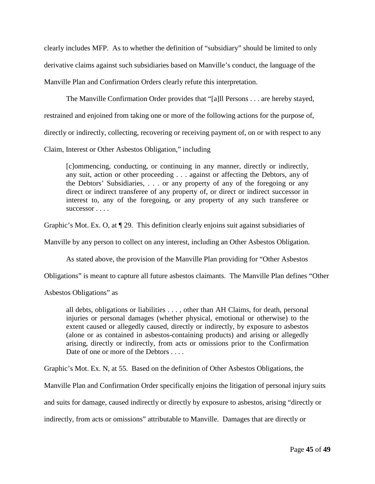clearly includes MFP. As to whether the definition of "subsidiary" should be limited to only derivative claims against such subsidiaries based on Manville's conduct, the language of the Manville Plan and Confirmation Orders clearly refute this interpretation.

The Manville Confirmation Order provides that "[a]ll Persons . . . are hereby stayed, restrained and enjoined from taking one or more of the following actions for the purpose of, directly or indirectly, collecting, recovering or receiving payment of, on or with respect to any Claim, Interest or Other Asbestos Obligation," including

[c]ommencing, conducting, or continuing in any manner, directly or indirectly, any suit, action or other proceeding . . . against or affecting the Debtors, any of the Debtors' Subsidiaries, . . . or any property of any of the foregoing or any direct or indirect transferee of any property of, or direct or indirect successor in interest to, any of the foregoing, or any property of any such transferee or successor . . . .

Graphic's Mot. Ex. O, at ¶ 29. This definition clearly enjoins suit against subsidiaries of

Manville by any person to collect on any interest, including an Other Asbestos Obligation.

As stated above, the provision of the Manville Plan providing for "Other Asbestos

Obligations" is meant to capture all future asbestos claimants. The Manville Plan defines "Other

Asbestos Obligations" as

all debts, obligations or liabilities . . . , other than AH Claims, for death, personal injuries or personal damages (whether physical, emotional or otherwise) to the extent caused or allegedly caused, directly or indirectly, by exposure to asbestos (alone or as contained in asbestos-containing products) and arising or allegedly arising, directly or indirectly, from acts or omissions prior to the Confirmation Date of one or more of the Debtors . . . .

Graphic's Mot. Ex. N, at 55. Based on the definition of Other Asbestos Obligations, the

Manville Plan and Confirmation Order specifically enjoins the litigation of personal injury suits

and suits for damage, caused indirectly or directly by exposure to asbestos, arising "directly or

indirectly, from acts or omissions" attributable to Manville. Damages that are directly or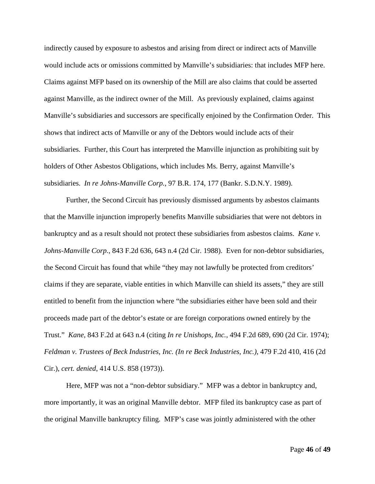indirectly caused by exposure to asbestos and arising from direct or indirect acts of Manville would include acts or omissions committed by Manville's subsidiaries: that includes MFP here. Claims against MFP based on its ownership of the Mill are also claims that could be asserted against Manville, as the indirect owner of the Mill. As previously explained, claims against Manville's subsidiaries and successors are specifically enjoined by the Confirmation Order. This shows that indirect acts of Manville or any of the Debtors would include acts of their subsidiaries. Further, this Court has interpreted the Manville injunction as prohibiting suit by holders of Other Asbestos Obligations, which includes Ms. Berry, against Manville's subsidiaries. *In re Johns-Manville Corp.*, 97 B.R. 174, 177 (Bankr. S.D.N.Y. 1989).

Further, the Second Circuit has previously dismissed arguments by asbestos claimants that the Manville injunction improperly benefits Manville subsidiaries that were not debtors in bankruptcy and as a result should not protect these subsidiaries from asbestos claims. *Kane v. Johns-Manville Corp.*, 843 F.2d 636, 643 n.4 (2d Cir. 1988). Even for non-debtor subsidiaries, the Second Circuit has found that while "they may not lawfully be protected from creditors' claims if they are separate, viable entities in which Manville can shield its assets," they are still entitled to benefit from the injunction where "the subsidiaries either have been sold and their proceeds made part of the debtor's estate or are foreign corporations owned entirely by the Trust." *Kane*, 843 F.2d at 643 n.4 (citing *In re Unishops, Inc.*, 494 F.2d 689, 690 (2d Cir. 1974); *Feldman v. Trustees of Beck Industries, Inc. (In re Beck Industries, Inc.)*, 479 F.2d 410, 416 (2d Cir.), *cert. denied*, 414 U.S. 858 (1973)).

Here, MFP was not a "non-debtor subsidiary." MFP was a debtor in bankruptcy and, more importantly, it was an original Manville debtor. MFP filed its bankruptcy case as part of the original Manville bankruptcy filing. MFP's case was jointly administered with the other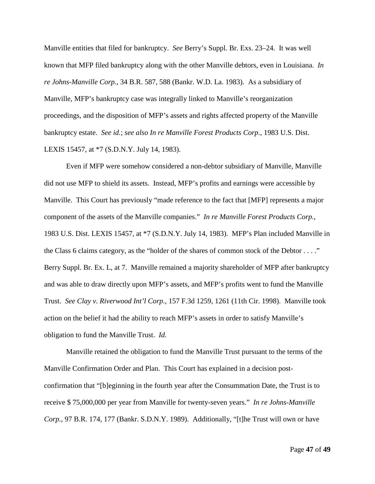Manville entities that filed for bankruptcy. *See* Berry's Suppl. Br. Exs. 23–24. It was well known that MFP filed bankruptcy along with the other Manville debtors, even in Louisiana. *In re Johns-Manville Corp.*, 34 B.R. 587, 588 (Bankr. W.D. La. 1983). As a subsidiary of Manville, MFP's bankruptcy case was integrally linked to Manville's reorganization proceedings, and the disposition of MFP's assets and rights affected property of the Manville bankruptcy estate. *See id.*; *see also In re Manville Forest Products Corp.*, 1983 U.S. Dist. LEXIS 15457, at \*7 (S.D.N.Y. July 14, 1983).

Even if MFP were somehow considered a non-debtor subsidiary of Manville, Manville did not use MFP to shield its assets. Instead, MFP's profits and earnings were accessible by Manville. This Court has previously "made reference to the fact that [MFP] represents a major component of the assets of the Manville companies." *In re Manville Forest Products Corp.*, 1983 U.S. Dist. LEXIS 15457, at \*7 (S.D.N.Y. July 14, 1983). MFP's Plan included Manville in the Class 6 claims category, as the "holder of the shares of common stock of the Debtor . . . ." Berry Suppl. Br. Ex. L, at 7. Manville remained a majority shareholder of MFP after bankruptcy and was able to draw directly upon MFP's assets, and MFP's profits went to fund the Manville Trust. *See Clay v. Riverwood Int'l Corp.*, 157 F.3d 1259, 1261 (11th Cir. 1998). Manville took action on the belief it had the ability to reach MFP's assets in order to satisfy Manville's obligation to fund the Manville Trust. *Id.*

Manville retained the obligation to fund the Manville Trust pursuant to the terms of the Manville Confirmation Order and Plan. This Court has explained in a decision postconfirmation that "[b]eginning in the fourth year after the Consummation Date, the Trust is to receive \$ 75,000,000 per year from Manville for twenty-seven years." *In re Johns-Manville Corp.*, 97 B.R. 174, 177 (Bankr. S.D.N.Y. 1989). Additionally, "[t]he Trust will own or have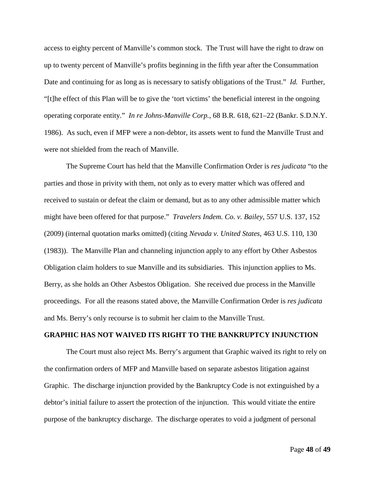access to eighty percent of Manville's common stock. The Trust will have the right to draw on up to twenty percent of Manville's profits beginning in the fifth year after the Consummation Date and continuing for as long as is necessary to satisfy obligations of the Trust." *Id.* Further, "[t]he effect of this Plan will be to give the 'tort victims' the beneficial interest in the ongoing operating corporate entity." *In re Johns-Manville Corp.*, 68 B.R. 618, 621–22 (Bankr. S.D.N.Y. 1986). As such, even if MFP were a non-debtor, its assets went to fund the Manville Trust and were not shielded from the reach of Manville.

The Supreme Court has held that the Manville Confirmation Order is *res judicata* "to the parties and those in privity with them, not only as to every matter which was offered and received to sustain or defeat the claim or demand, but as to any other admissible matter which might have been offered for that purpose." *Travelers Indem. Co. v. Bailey*, 557 U.S. 137, 152 (2009) (internal quotation marks omitted) (citing *Nevada v. United States*, 463 U.S. 110, 130 (1983)). The Manville Plan and channeling injunction apply to any effort by Other Asbestos Obligation claim holders to sue Manville and its subsidiaries. This injunction applies to Ms. Berry, as she holds an Other Asbestos Obligation. She received due process in the Manville proceedings. For all the reasons stated above, the Manville Confirmation Order is *res judicata* and Ms. Berry's only recourse is to submit her claim to the Manville Trust.

## **GRAPHIC HAS NOT WAIVED ITS RIGHT TO THE BANKRUPTCY INJUNCTION**

The Court must also reject Ms. Berry's argument that Graphic waived its right to rely on the confirmation orders of MFP and Manville based on separate asbestos litigation against Graphic. The discharge injunction provided by the Bankruptcy Code is not extinguished by a debtor's initial failure to assert the protection of the injunction. This would vitiate the entire purpose of the bankruptcy discharge. The discharge operates to void a judgment of personal